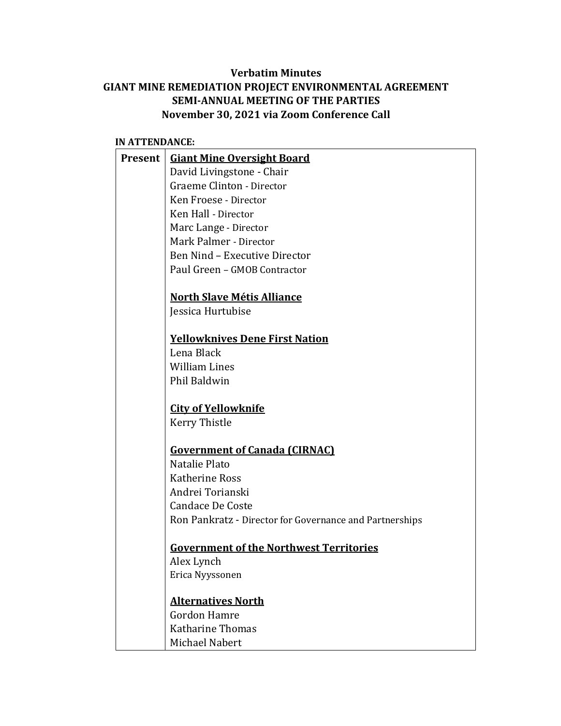# **Verbatim Minutes GIANT MINE REMEDIATION PROJECT ENVIRONMENTAL AGREEMENT SEMI-ANNUAL MEETING OF THE PARTIES November 30, 2021 via Zoom Conference Call**

#### **IN ATTENDANCE:**

| Present | <b>Giant Mine Oversight Board</b>                       |
|---------|---------------------------------------------------------|
|         | David Livingstone - Chair                               |
|         | Graeme Clinton - Director                               |
|         | Ken Froese - Director                                   |
|         | Ken Hall - Director                                     |
|         | Marc Lange - Director                                   |
|         | Mark Palmer - Director                                  |
|         | Ben Nind - Executive Director                           |
|         | Paul Green - GMOB Contractor                            |
|         |                                                         |
|         | <b>North Slave Métis Alliance</b>                       |
|         | Jessica Hurtubise                                       |
|         | <b>Yellowknives Dene First Nation</b>                   |
|         | Lena Black                                              |
|         | <b>William Lines</b>                                    |
|         | Phil Baldwin                                            |
|         |                                                         |
|         | <b>City of Yellowknife</b>                              |
|         | Kerry Thistle                                           |
|         |                                                         |
|         | <b>Government of Canada (CIRNAC)</b>                    |
|         | Natalie Plato                                           |
|         | <b>Katherine Ross</b>                                   |
|         | Andrei Torianski                                        |
|         | <b>Candace De Coste</b>                                 |
|         | Ron Pankratz - Director for Governance and Partnerships |
|         | <b>Government of the Northwest Territories</b>          |
|         | Alex Lynch                                              |
|         | Erica Nyyssonen                                         |
|         |                                                         |
|         | <b>Alternatives North</b>                               |
|         | <b>Gordon Hamre</b>                                     |
|         | Katharine Thomas                                        |
|         | Michael Nabert                                          |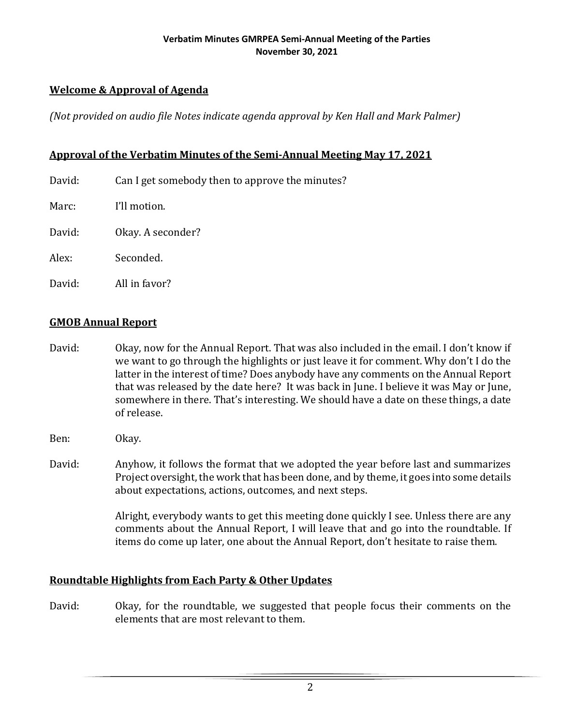# **Welcome & Approval of Agenda**

*(Not provided on audio file Notes indicate agenda approval by Ken Hall and Mark Palmer)*

## **Approval of the Verbatim Minutes of the Semi-Annual Meeting May 17, 2021**

David: Can I get somebody then to approve the minutes?

Marc: I'll motion.

David: Okay. A seconder?

Alex: Seconded.

David: All in favor?

## **GMOB Annual Report**

- David: Okay, now for the Annual Report. That was also included in the email. I don't know if we want to go through the highlights or just leave it for comment. Why don't I do the latter in the interest of time? Does anybody have any comments on the Annual Report that was released by the date here? It was back in June. I believe it was May or June, somewhere in there. That's interesting. We should have a date on these things, a date of release.
- Ben: Okay.
- David: Anyhow, it follows the format that we adopted the year before last and summarizes Project oversight, the work that has been done, and by theme, it goes into some details about expectations, actions, outcomes, and next steps.

Alright, everybody wants to get this meeting done quickly I see. Unless there are any comments about the Annual Report, I will leave that and go into the roundtable. If items do come up later, one about the Annual Report, don't hesitate to raise them.

## **Roundtable Highlights from Each Party & Other Updates**

David: Okay, for the roundtable, we suggested that people focus their comments on the elements that are most relevant to them.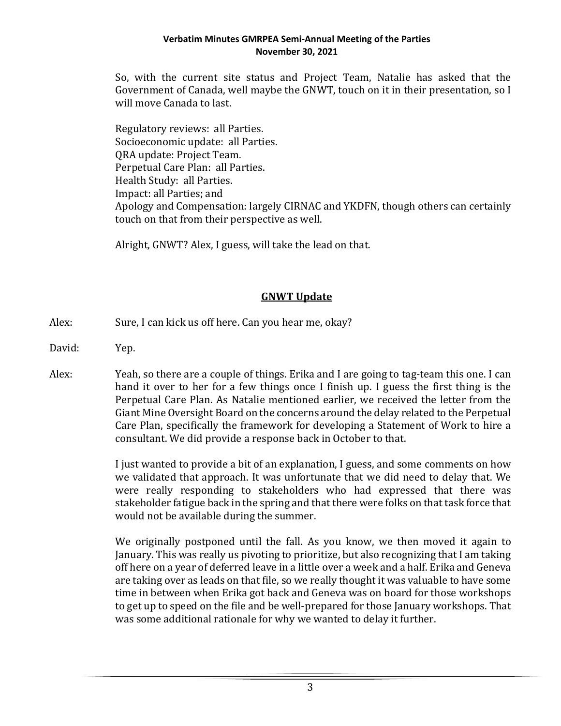So, with the current site status and Project Team, Natalie has asked that the Government of Canada, well maybe the GNWT, touch on it in their presentation, so I will move Canada to last.

Regulatory reviews: all Parties. Socioeconomic update: all Parties. QRA update: Project Team. Perpetual Care Plan: all Parties. Health Study: all Parties. Impact: all Parties; and Apology and Compensation: largely CIRNAC and YKDFN, though others can certainly touch on that from their perspective as well.

Alright, GNWT? Alex, I guess, will take the lead on that.

## **GNWT Update**

- Alex: Sure, I can kick us off here. Can you hear me, okay?
- David: Yep.
- Alex: Yeah, so there are a couple of things. Erika and I are going to tag-team this one. I can hand it over to her for a few things once I finish up. I guess the first thing is the Perpetual Care Plan. As Natalie mentioned earlier, we received the letter from the Giant Mine Oversight Board on the concerns around the delay related to the Perpetual Care Plan, specifically the framework for developing a Statement of Work to hire a consultant. We did provide a response back in October to that.

I just wanted to provide a bit of an explanation, I guess, and some comments on how we validated that approach. It was unfortunate that we did need to delay that. We were really responding to stakeholders who had expressed that there was stakeholder fatigue back in the spring and that there were folks on that task force that would not be available during the summer.

We originally postponed until the fall. As you know, we then moved it again to January. This was really us pivoting to prioritize, but also recognizing that I am taking off here on a year of deferred leave in a little over a week and a half. Erika and Geneva are taking over as leads on that file, so we really thought it was valuable to have some time in between when Erika got back and Geneva was on board for those workshops to get up to speed on the file and be well-prepared for those January workshops. That was some additional rationale for why we wanted to delay it further.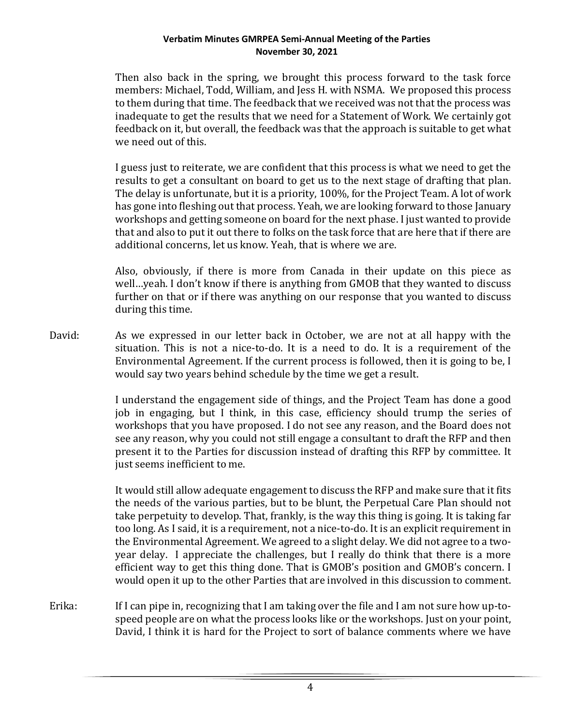Then also back in the spring, we brought this process forward to the task force members: Michael, Todd, William, and Jess H. with NSMA. We proposed this process to them during that time. The feedback that we received was not that the process was inadequate to get the results that we need for a Statement of Work. We certainly got feedback on it, but overall, the feedback was that the approach is suitable to get what we need out of this.

I guess just to reiterate, we are confident that this process is what we need to get the results to get a consultant on board to get us to the next stage of drafting that plan. The delay is unfortunate, but it is a priority, 100%, for the Project Team. A lot of work has gone into fleshing out that process. Yeah, we are looking forward to those January workshops and getting someone on board for the next phase. I just wanted to provide that and also to put it out there to folks on the task force that are here that if there are additional concerns, let us know. Yeah, that is where we are.

Also, obviously, if there is more from Canada in their update on this piece as well…yeah. I don't know if there is anything from GMOB that they wanted to discuss further on that or if there was anything on our response that you wanted to discuss during this time.

David: As we expressed in our letter back in October, we are not at all happy with the situation. This is not a nice-to-do. It is a need to do. It is a requirement of the Environmental Agreement. If the current process is followed, then it is going to be, I would say two years behind schedule by the time we get a result.

> I understand the engagement side of things, and the Project Team has done a good job in engaging, but I think, in this case, efficiency should trump the series of workshops that you have proposed. I do not see any reason, and the Board does not see any reason, why you could not still engage a consultant to draft the RFP and then present it to the Parties for discussion instead of drafting this RFP by committee. It just seems inefficient to me.

> It would still allow adequate engagement to discuss the RFP and make sure that it fits the needs of the various parties, but to be blunt, the Perpetual Care Plan should not take perpetuity to develop. That, frankly, is the way this thing is going. It is taking far too long. As I said, it is a requirement, not a nice-to-do. It is an explicit requirement in the Environmental Agreement. We agreed to a slight delay. We did not agree to a twoyear delay. I appreciate the challenges, but I really do think that there is a more efficient way to get this thing done. That is GMOB's position and GMOB's concern. I would open it up to the other Parties that are involved in this discussion to comment.

Erika: If I can pipe in, recognizing that I am taking over the file and I am not sure how up-tospeed people are on what the process looks like or the workshops. Just on your point, David, I think it is hard for the Project to sort of balance comments where we have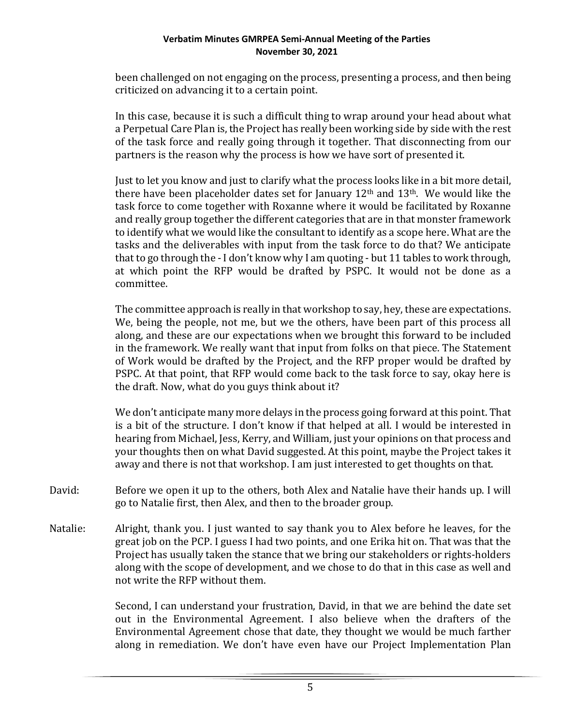been challenged on not engaging on the process, presenting a process, and then being criticized on advancing it to a certain point.

In this case, because it is such a difficult thing to wrap around your head about what a Perpetual Care Plan is, the Project has really been working side by side with the rest of the task force and really going through it together. That disconnecting from our partners is the reason why the process is how we have sort of presented it.

Just to let you know and just to clarify what the process looks like in a bit more detail, there have been placeholder dates set for January  $12<sup>th</sup>$  and  $13<sup>th</sup>$ . We would like the task force to come together with Roxanne where it would be facilitated by Roxanne and really group together the different categories that are in that monster framework to identify what we would like the consultant to identify as a scope here. What are the tasks and the deliverables with input from the task force to do that? We anticipate that to go through the - I don't know why I am quoting - but 11 tables to work through, at which point the RFP would be drafted by PSPC. It would not be done as a committee.

The committee approach is really in that workshop to say, hey, these are expectations. We, being the people, not me, but we the others, have been part of this process all along, and these are our expectations when we brought this forward to be included in the framework. We really want that input from folks on that piece. The Statement of Work would be drafted by the Project, and the RFP proper would be drafted by PSPC. At that point, that RFP would come back to the task force to say, okay here is the draft. Now, what do you guys think about it?

We don't anticipate many more delays in the process going forward at this point. That is a bit of the structure. I don't know if that helped at all. I would be interested in hearing from Michael, Jess, Kerry, and William, just your opinions on that process and your thoughts then on what David suggested. At this point, maybe the Project takes it away and there is not that workshop. I am just interested to get thoughts on that.

- David: Before we open it up to the others, both Alex and Natalie have their hands up. I will go to Natalie first, then Alex, and then to the broader group.
- Natalie: Alright, thank you. I just wanted to say thank you to Alex before he leaves, for the great job on the PCP. I guess I had two points, and one Erika hit on. That was that the Project has usually taken the stance that we bring our stakeholders or rights-holders along with the scope of development, and we chose to do that in this case as well and not write the RFP without them.

Second, I can understand your frustration, David, in that we are behind the date set out in the Environmental Agreement. I also believe when the drafters of the Environmental Agreement chose that date, they thought we would be much farther along in remediation. We don't have even have our Project Implementation Plan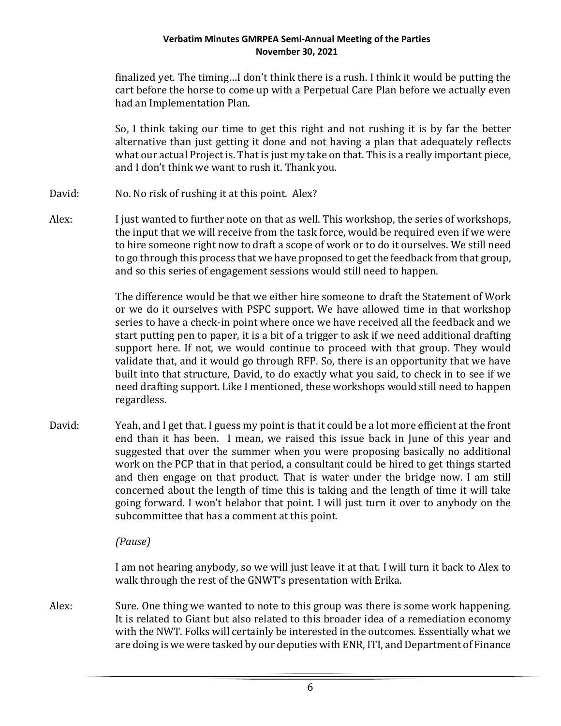finalized yet. The timing…I don't think there is a rush. I think it would be putting the cart before the horse to come up with a Perpetual Care Plan before we actually even had an Implementation Plan.

So, I think taking our time to get this right and not rushing it is by far the better alternative than just getting it done and not having a plan that adequately reflects what our actual Project is. That is just my take on that. This is a really important piece, and I don't think we want to rush it. Thank you.

- David: No. No risk of rushing it at this point. Alex?
- Alex: I just wanted to further note on that as well. This workshop, the series of workshops, the input that we will receive from the task force, would be required even if we were to hire someone right now to draft a scope of work or to do it ourselves. We still need to go through this process that we have proposed to get the feedback from that group, and so this series of engagement sessions would still need to happen.

The difference would be that we either hire someone to draft the Statement of Work or we do it ourselves with PSPC support. We have allowed time in that workshop series to have a check-in point where once we have received all the feedback and we start putting pen to paper, it is a bit of a trigger to ask if we need additional drafting support here. If not, we would continue to proceed with that group. They would validate that, and it would go through RFP. So, there is an opportunity that we have built into that structure, David, to do exactly what you said, to check in to see if we need drafting support. Like I mentioned, these workshops would still need to happen regardless.

David: Yeah, and I get that. I guess my point is that it could be a lot more efficient at the front end than it has been. I mean, we raised this issue back in June of this year and suggested that over the summer when you were proposing basically no additional work on the PCP that in that period, a consultant could be hired to get things started and then engage on that product. That is water under the bridge now. I am still concerned about the length of time this is taking and the length of time it will take going forward. I won't belabor that point. I will just turn it over to anybody on the subcommittee that has a comment at this point.

# *(Pause)*

I am not hearing anybody, so we will just leave it at that. I will turn it back to Alex to walk through the rest of the GNWT's presentation with Erika.

Alex: Sure. One thing we wanted to note to this group was there is some work happening. It is related to Giant but also related to this broader idea of a remediation economy with the NWT. Folks will certainly be interested in the outcomes. Essentially what we are doing is we were tasked by our deputies with ENR, ITI, and Department of Finance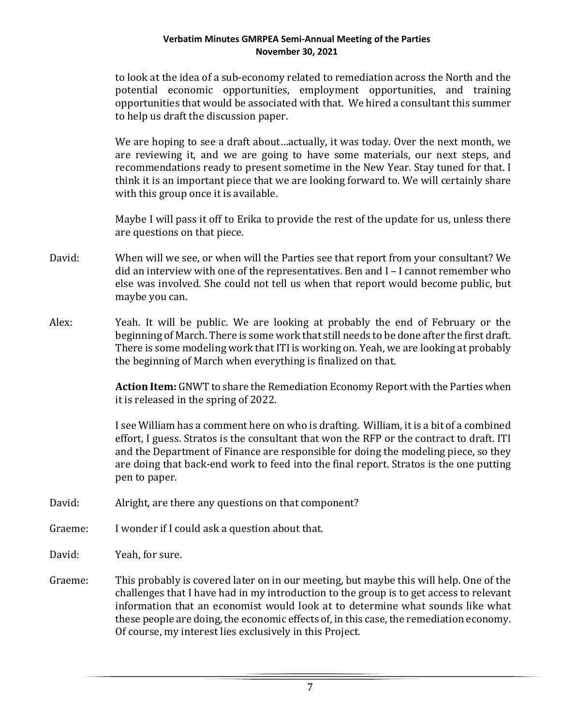to look at the idea of a sub-economy related to remediation across the North and the potential economic opportunities, employment opportunities, and training opportunities that would be associated with that. We hired a consultant this summer to help us draft the discussion paper.

We are hoping to see a draft about…actually, it was today. Over the next month, we are reviewing it, and we are going to have some materials, our next steps, and recommendations ready to present sometime in the New Year. Stay tuned for that. I think it is an important piece that we are looking forward to. We will certainly share with this group once it is available.

Maybe I will pass it off to Erika to provide the rest of the update for us, unless there are questions on that piece.

- David: When will we see, or when will the Parties see that report from your consultant? We did an interview with one of the representatives. Ben and I – I cannot remember who else was involved. She could not tell us when that report would become public, but maybe you can.
- Alex: Yeah. It will be public. We are looking at probably the end of February or the beginning of March. There is some work that still needs to be done after the first draft. There is some modeling work that ITI is working on. Yeah, we are looking at probably the beginning of March when everything is finalized on that.

**Action Item:** GNWT to share the Remediation Economy Report with the Parties when it is released in the spring of 2022.

I see William has a comment here on who is drafting. William, it is a bit of a combined effort, I guess. Stratos is the consultant that won the RFP or the contract to draft. ITI and the Department of Finance are responsible for doing the modeling piece, so they are doing that back-end work to feed into the final report. Stratos is the one putting pen to paper.

- David: Alright, are there any questions on that component?
- Graeme: I wonder if I could ask a question about that.
- David: Yeah, for sure.
- Graeme: This probably is covered later on in our meeting, but maybe this will help. One of the challenges that I have had in my introduction to the group is to get access to relevant information that an economist would look at to determine what sounds like what these people are doing, the economic effects of, in this case, the remediation economy. Of course, my interest lies exclusively in this Project.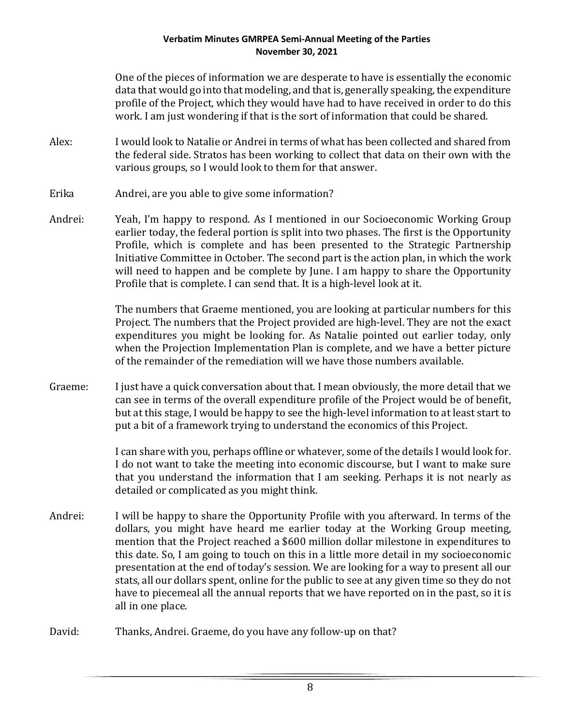One of the pieces of information we are desperate to have is essentially the economic data that would go into that modeling, and that is, generally speaking, the expenditure profile of the Project, which they would have had to have received in order to do this work. I am just wondering if that is the sort of information that could be shared.

- Alex: I would look to Natalie or Andrei in terms of what has been collected and shared from the federal side. Stratos has been working to collect that data on their own with the various groups, so I would look to them for that answer.
- Erika Andrei, are you able to give some information?
- Andrei: Yeah, I'm happy to respond. As I mentioned in our Socioeconomic Working Group earlier today, the federal portion is split into two phases. The first is the Opportunity Profile, which is complete and has been presented to the Strategic Partnership Initiative Committee in October. The second part is the action plan, in which the work will need to happen and be complete by June. I am happy to share the Opportunity Profile that is complete. I can send that. It is a high-level look at it.

The numbers that Graeme mentioned, you are looking at particular numbers for this Project. The numbers that the Project provided are high-level. They are not the exact expenditures you might be looking for. As Natalie pointed out earlier today, only when the Projection Implementation Plan is complete, and we have a better picture of the remainder of the remediation will we have those numbers available.

Graeme: I just have a quick conversation about that. I mean obviously, the more detail that we can see in terms of the overall expenditure profile of the Project would be of benefit, but at this stage, I would be happy to see the high-level information to at least start to put a bit of a framework trying to understand the economics of this Project.

> I can share with you, perhaps offline or whatever, some of the details I would look for. I do not want to take the meeting into economic discourse, but I want to make sure that you understand the information that I am seeking. Perhaps it is not nearly as detailed or complicated as you might think.

- Andrei: I will be happy to share the Opportunity Profile with you afterward. In terms of the dollars, you might have heard me earlier today at the Working Group meeting, mention that the Project reached a \$600 million dollar milestone in expenditures to this date. So, I am going to touch on this in a little more detail in my socioeconomic presentation at the end of today's session. We are looking for a way to present all our stats, all our dollars spent, online for the public to see at any given time so they do not have to piecemeal all the annual reports that we have reported on in the past, so it is all in one place.
- David: Thanks, Andrei. Graeme, do you have any follow-up on that?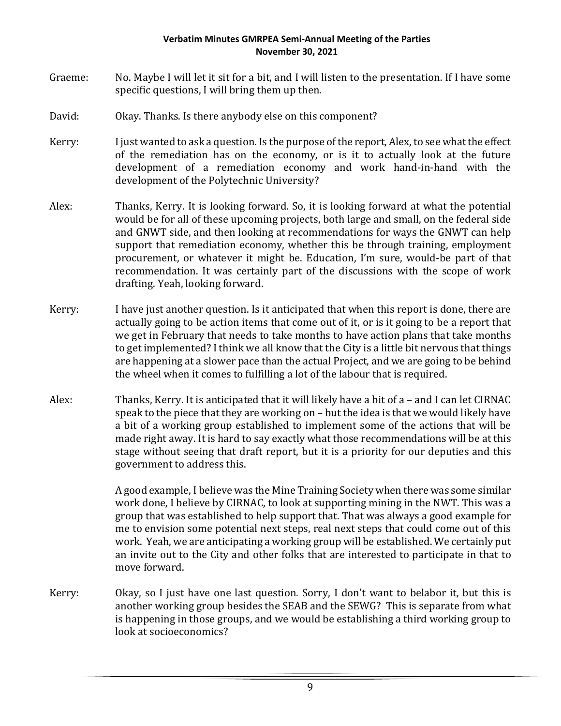- Graeme: No. Maybe I will let it sit for a bit, and I will listen to the presentation. If I have some specific questions, I will bring them up then.
- David: Okay. Thanks. Is there anybody else on this component?
- Kerry: I just wanted to ask a question. Is the purpose of the report, Alex, to see what the effect of the remediation has on the economy, or is it to actually look at the future development of a remediation economy and work hand-in-hand with the development of the Polytechnic University?
- Alex: Thanks, Kerry. It is looking forward. So, it is looking forward at what the potential would be for all of these upcoming projects, both large and small, on the federal side and GNWT side, and then looking at recommendations for ways the GNWT can help support that remediation economy, whether this be through training, employment procurement, or whatever it might be. Education, I'm sure, would-be part of that recommendation. It was certainly part of the discussions with the scope of work drafting. Yeah, looking forward.
- Kerry: I have just another question. Is it anticipated that when this report is done, there are actually going to be action items that come out of it, or is it going to be a report that we get in February that needs to take months to have action plans that take months to get implemented? I think we all know that the City is a little bit nervous that things are happening at a slower pace than the actual Project, and we are going to be behind the wheel when it comes to fulfilling a lot of the labour that is required.
- Alex: Thanks, Kerry. It is anticipated that it will likely have a bit of a and I can let CIRNAC speak to the piece that they are working on – but the idea is that we would likely have a bit of a working group established to implement some of the actions that will be made right away. It is hard to say exactly what those recommendations will be at this stage without seeing that draft report, but it is a priority for our deputies and this government to address this.

A good example, I believe was the Mine Training Society when there was some similar work done, I believe by CIRNAC, to look at supporting mining in the NWT. This was a group that was established to help support that. That was always a good example for me to envision some potential next steps, real next steps that could come out of this work. Yeah, we are anticipating a working group will be established. We certainly put an invite out to the City and other folks that are interested to participate in that to move forward.

Kerry: Okay, so I just have one last question. Sorry, I don't want to belabor it, but this is another working group besides the SEAB and the SEWG? This is separate from what is happening in those groups, and we would be establishing a third working group to look at socioeconomics?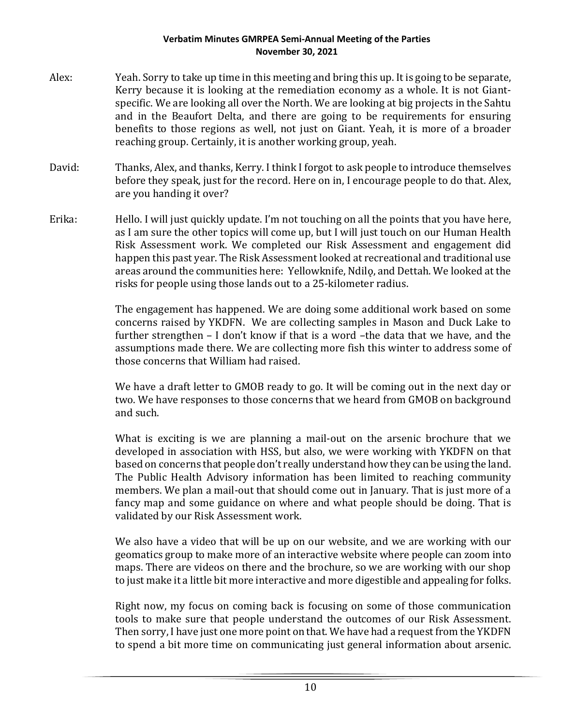- Alex: Yeah. Sorry to take up time in this meeting and bring this up. It is going to be separate, Kerry because it is looking at the remediation economy as a whole. It is not Giantspecific. We are looking all over the North. We are looking at big projects in the Sahtu and in the Beaufort Delta, and there are going to be requirements for ensuring benefits to those regions as well, not just on Giant. Yeah, it is more of a broader reaching group. Certainly, it is another working group, yeah.
- David: Thanks, Alex, and thanks, Kerry. I think I forgot to ask people to introduce themselves before they speak, just for the record. Here on in, I encourage people to do that. Alex, are you handing it over?
- Erika: Hello. I will just quickly update. I'm not touching on all the points that you have here, as I am sure the other topics will come up, but I will just touch on our Human Health Risk Assessment work. We completed our Risk Assessment and engagement did happen this past year. The Risk Assessment looked at recreational and traditional use areas around the communities here: Yellowknife, Ndilǫ, and Dettah. We looked at the risks for people using those lands out to a 25-kilometer radius.

The engagement has happened. We are doing some additional work based on some concerns raised by YKDFN. We are collecting samples in Mason and Duck Lake to further strengthen – I don't know if that is a word –the data that we have, and the assumptions made there. We are collecting more fish this winter to address some of those concerns that William had raised.

We have a draft letter to GMOB ready to go. It will be coming out in the next day or two. We have responses to those concerns that we heard from GMOB on background and such.

What is exciting is we are planning a mail-out on the arsenic brochure that we developed in association with HSS, but also, we were working with YKDFN on that based on concerns that people don't really understand how they can be using the land. The Public Health Advisory information has been limited to reaching community members. We plan a mail-out that should come out in January. That is just more of a fancy map and some guidance on where and what people should be doing. That is validated by our Risk Assessment work.

We also have a video that will be up on our website, and we are working with our geomatics group to make more of an interactive website where people can zoom into maps. There are videos on there and the brochure, so we are working with our shop to just make it a little bit more interactive and more digestible and appealing for folks.

Right now, my focus on coming back is focusing on some of those communication tools to make sure that people understand the outcomes of our Risk Assessment. Then sorry, I have just one more point on that. We have had a request from the YKDFN to spend a bit more time on communicating just general information about arsenic.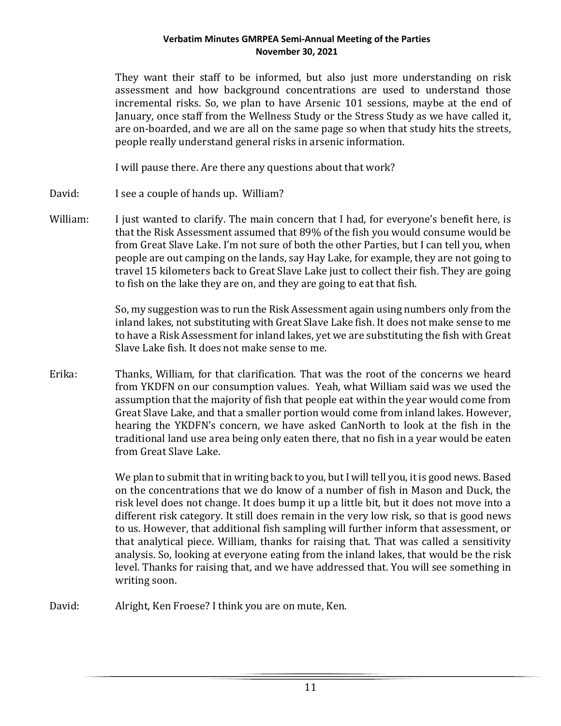They want their staff to be informed, but also just more understanding on risk assessment and how background concentrations are used to understand those incremental risks. So, we plan to have Arsenic 101 sessions, maybe at the end of January, once staff from the Wellness Study or the Stress Study as we have called it, are on-boarded, and we are all on the same page so when that study hits the streets, people really understand general risks in arsenic information.

I will pause there. Are there any questions about that work?

David: I see a couple of hands up. William?

William: I just wanted to clarify. The main concern that I had, for everyone's benefit here, is that the Risk Assessment assumed that 89% of the fish you would consume would be from Great Slave Lake. I'm not sure of both the other Parties, but I can tell you, when people are out camping on the lands, say Hay Lake, for example, they are not going to travel 15 kilometers back to Great Slave Lake just to collect their fish. They are going to fish on the lake they are on, and they are going to eat that fish.

> So, my suggestion was to run the Risk Assessment again using numbers only from the inland lakes, not substituting with Great Slave Lake fish. It does not make sense to me to have a Risk Assessment for inland lakes, yet we are substituting the fish with Great Slave Lake fish. It does not make sense to me.

Erika: Thanks, William, for that clarification. That was the root of the concerns we heard from YKDFN on our consumption values. Yeah, what William said was we used the assumption that the majority of fish that people eat within the year would come from Great Slave Lake, and that a smaller portion would come from inland lakes. However, hearing the YKDFN's concern, we have asked CanNorth to look at the fish in the traditional land use area being only eaten there, that no fish in a year would be eaten from Great Slave Lake.

> We plan to submit that in writing back to you, but I will tell you, it is good news. Based on the concentrations that we do know of a number of fish in Mason and Duck, the risk level does not change. It does bump it up a little bit, but it does not move into a different risk category. It still does remain in the very low risk, so that is good news to us. However, that additional fish sampling will further inform that assessment, or that analytical piece. William, thanks for raising that. That was called a sensitivity analysis. So, looking at everyone eating from the inland lakes, that would be the risk level. Thanks for raising that, and we have addressed that. You will see something in writing soon.

David: Alright, Ken Froese? I think you are on mute, Ken.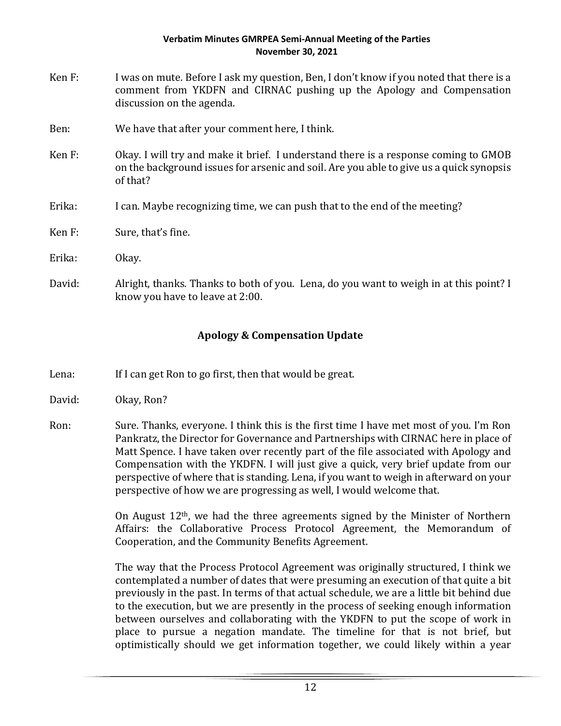- Ken F: I was on mute. Before I ask my question, Ben, I don't know if you noted that there is a comment from YKDFN and CIRNAC pushing up the Apology and Compensation discussion on the agenda.
- Ben: We have that after your comment here, I think.
- Ken F: Okay. I will try and make it brief. I understand there is a response coming to GMOB on the background issues for arsenic and soil. Are you able to give us a quick synopsis of that?
- Erika: I can. Maybe recognizing time, we can push that to the end of the meeting?
- Ken F: Sure, that's fine.
- Erika: Okay.
- David: Alright, thanks. Thanks to both of you. Lena, do you want to weigh in at this point? I know you have to leave at 2:00.

# **Apology & Compensation Update**

- Lena: If I can get Ron to go first, then that would be great.
- David: Okay, Ron?
- Ron: Sure. Thanks, everyone. I think this is the first time I have met most of you. I'm Ron Pankratz, the Director for Governance and Partnerships with CIRNAC here in place of Matt Spence. I have taken over recently part of the file associated with Apology and Compensation with the YKDFN. I will just give a quick, very brief update from our perspective of where that is standing. Lena, if you want to weigh in afterward on your perspective of how we are progressing as well, I would welcome that.

On August 12th, we had the three agreements signed by the Minister of Northern Affairs: the Collaborative Process Protocol Agreement, the Memorandum of Cooperation, and the Community Benefits Agreement.

The way that the Process Protocol Agreement was originally structured, I think we contemplated a number of dates that were presuming an execution of that quite a bit previously in the past. In terms of that actual schedule, we are a little bit behind due to the execution, but we are presently in the process of seeking enough information between ourselves and collaborating with the YKDFN to put the scope of work in place to pursue a negation mandate. The timeline for that is not brief, but optimistically should we get information together, we could likely within a year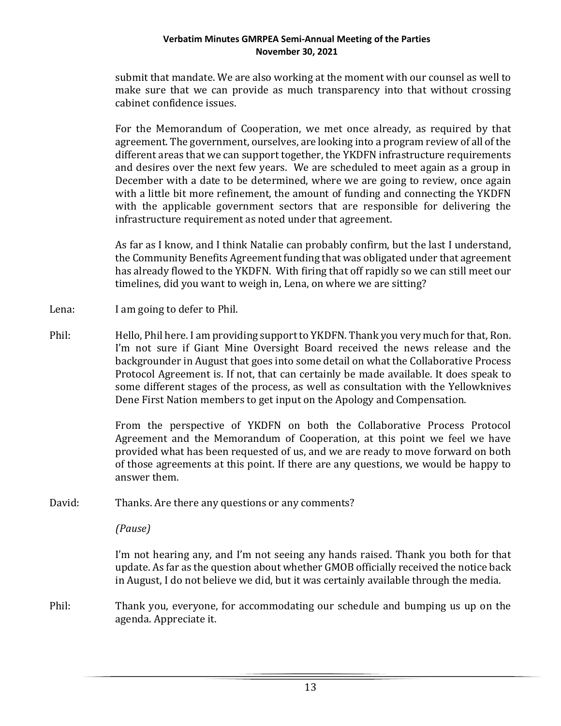submit that mandate. We are also working at the moment with our counsel as well to make sure that we can provide as much transparency into that without crossing cabinet confidence issues.

For the Memorandum of Cooperation, we met once already, as required by that agreement. The government, ourselves, are looking into a program review of all of the different areas that we can support together, the YKDFN infrastructure requirements and desires over the next few years. We are scheduled to meet again as a group in December with a date to be determined, where we are going to review, once again with a little bit more refinement, the amount of funding and connecting the YKDFN with the applicable government sectors that are responsible for delivering the infrastructure requirement as noted under that agreement.

As far as I know, and I think Natalie can probably confirm, but the last I understand, the Community Benefits Agreement funding that was obligated under that agreement has already flowed to the YKDFN. With firing that off rapidly so we can still meet our timelines, did you want to weigh in, Lena, on where we are sitting?

- Lena: I am going to defer to Phil.
- Phil: Hello, Phil here. I am providing support to YKDFN. Thank you very much for that, Ron. I'm not sure if Giant Mine Oversight Board received the news release and the backgrounder in August that goes into some detail on what the Collaborative Process Protocol Agreement is. If not, that can certainly be made available. It does speak to some different stages of the process, as well as consultation with the Yellowknives Dene First Nation members to get input on the Apology and Compensation.

From the perspective of YKDFN on both the Collaborative Process Protocol Agreement and the Memorandum of Cooperation, at this point we feel we have provided what has been requested of us, and we are ready to move forward on both of those agreements at this point. If there are any questions, we would be happy to answer them.

David: Thanks. Are there any questions or any comments?

*(Pause)*

I'm not hearing any, and I'm not seeing any hands raised. Thank you both for that update. As far as the question about whether GMOB officially received the notice back in August, I do not believe we did, but it was certainly available through the media.

Phil: Thank you, everyone, for accommodating our schedule and bumping us up on the agenda. Appreciate it.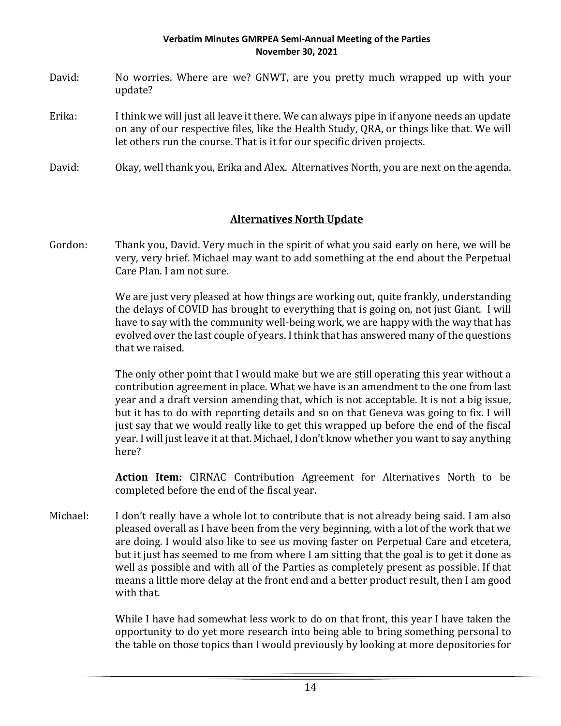- David: No worries. Where are we? GNWT, are you pretty much wrapped up with your update?
- Erika: I think we will just all leave it there. We can always pipe in if anyone needs an update on any of our respective files, like the Health Study, QRA, or things like that. We will let others run the course. That is it for our specific driven projects.
- David: Okay, well thank you, Erika and Alex. Alternatives North, you are next on the agenda.

# **Alternatives North Update**

Gordon: Thank you, David. Very much in the spirit of what you said early on here, we will be very, very brief. Michael may want to add something at the end about the Perpetual Care Plan. I am not sure.

> We are just very pleased at how things are working out, quite frankly, understanding the delays of COVID has brought to everything that is going on, not just Giant. I will have to say with the community well-being work, we are happy with the way that has evolved over the last couple of years. I think that has answered many of the questions that we raised.

> The only other point that I would make but we are still operating this year without a contribution agreement in place. What we have is an amendment to the one from last year and a draft version amending that, which is not acceptable. It is not a big issue, but it has to do with reporting details and so on that Geneva was going to fix. I will just say that we would really like to get this wrapped up before the end of the fiscal year. I will just leave it at that. Michael, I don't know whether you want to say anything here?

> **Action Item:** CIRNAC Contribution Agreement for Alternatives North to be completed before the end of the fiscal year.

Michael: I don't really have a whole lot to contribute that is not already being said. I am also pleased overall as I have been from the very beginning, with a lot of the work that we are doing. I would also like to see us moving faster on Perpetual Care and etcetera, but it just has seemed to me from where I am sitting that the goal is to get it done as well as possible and with all of the Parties as completely present as possible. If that means a little more delay at the front end and a better product result, then I am good with that.

> While I have had somewhat less work to do on that front, this year I have taken the opportunity to do yet more research into being able to bring something personal to the table on those topics than I would previously by looking at more depositories for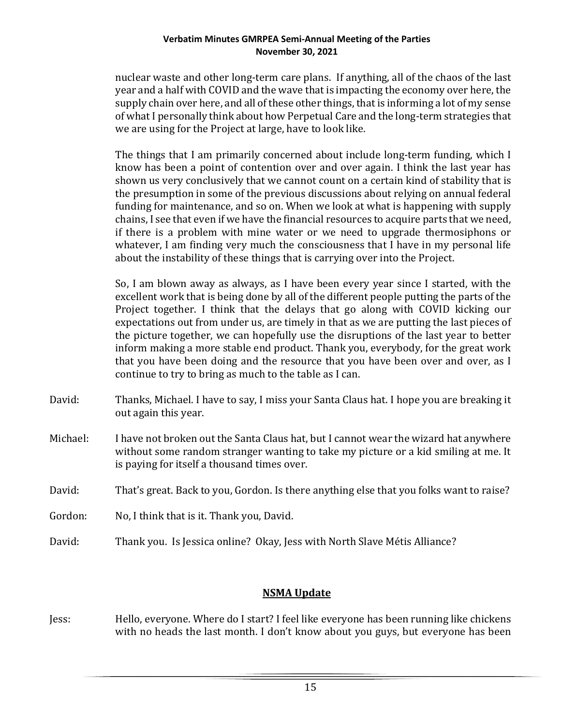nuclear waste and other long-term care plans. If anything, all of the chaos of the last year and a half with COVID and the wave that is impacting the economy over here, the supply chain over here, and all of these other things, that is informing a lot of my sense of what I personally think about how Perpetual Care and the long-term strategies that we are using for the Project at large, have to look like.

The things that I am primarily concerned about include long-term funding, which I know has been a point of contention over and over again. I think the last year has shown us very conclusively that we cannot count on a certain kind of stability that is the presumption in some of the previous discussions about relying on annual federal funding for maintenance, and so on. When we look at what is happening with supply chains, I see that even if we have the financial resources to acquire parts that we need, if there is a problem with mine water or we need to upgrade thermosiphons or whatever, I am finding very much the consciousness that I have in my personal life about the instability of these things that is carrying over into the Project.

So, I am blown away as always, as I have been every year since I started, with the excellent work that is being done by all of the different people putting the parts of the Project together. I think that the delays that go along with COVID kicking our expectations out from under us, are timely in that as we are putting the last pieces of the picture together, we can hopefully use the disruptions of the last year to better inform making a more stable end product. Thank you, everybody, for the great work that you have been doing and the resource that you have been over and over, as I continue to try to bring as much to the table as I can.

- David: Thanks, Michael. I have to say, I miss your Santa Claus hat. I hope you are breaking it out again this year.
- Michael: I have not broken out the Santa Claus hat, but I cannot wear the wizard hat anywhere without some random stranger wanting to take my picture or a kid smiling at me. It is paying for itself a thousand times over.
- David: That's great. Back to you, Gordon. Is there anything else that you folks want to raise?
- Gordon: No, I think that is it. Thank you, David.
- David: Thank you. Is Jessica online? Okay, Jess with North Slave Métis Alliance?

## **NSMA Update**

Jess: Hello, everyone. Where do I start? I feel like everyone has been running like chickens with no heads the last month. I don't know about you guys, but everyone has been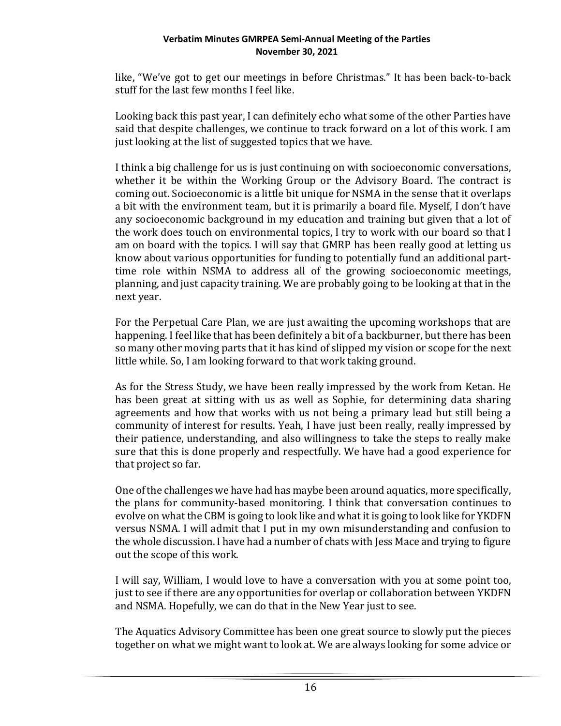like, "We've got to get our meetings in before Christmas." It has been back-to-back stuff for the last few months I feel like.

Looking back this past year, I can definitely echo what some of the other Parties have said that despite challenges, we continue to track forward on a lot of this work. I am just looking at the list of suggested topics that we have.

I think a big challenge for us is just continuing on with socioeconomic conversations, whether it be within the Working Group or the Advisory Board. The contract is coming out. Socioeconomic is a little bit unique for NSMA in the sense that it overlaps a bit with the environment team, but it is primarily a board file. Myself, I don't have any socioeconomic background in my education and training but given that a lot of the work does touch on environmental topics, I try to work with our board so that I am on board with the topics. I will say that GMRP has been really good at letting us know about various opportunities for funding to potentially fund an additional parttime role within NSMA to address all of the growing socioeconomic meetings, planning, and just capacity training. We are probably going to be looking at that in the next year.

For the Perpetual Care Plan, we are just awaiting the upcoming workshops that are happening. I feel like that has been definitely a bit of a backburner, but there has been so many other moving parts that it has kind of slipped my vision or scope for the next little while. So, I am looking forward to that work taking ground.

As for the Stress Study, we have been really impressed by the work from Ketan. He has been great at sitting with us as well as Sophie, for determining data sharing agreements and how that works with us not being a primary lead but still being a community of interest for results. Yeah, I have just been really, really impressed by their patience, understanding, and also willingness to take the steps to really make sure that this is done properly and respectfully. We have had a good experience for that project so far.

One of the challenges we have had has maybe been around aquatics, more specifically, the plans for community-based monitoring. I think that conversation continues to evolve on what the CBM is going to look like and what it is going to look like for YKDFN versus NSMA. I will admit that I put in my own misunderstanding and confusion to the whole discussion. I have had a number of chats with Jess Mace and trying to figure out the scope of this work.

I will say, William, I would love to have a conversation with you at some point too, just to see if there are any opportunities for overlap or collaboration between YKDFN and NSMA. Hopefully, we can do that in the New Year just to see.

The Aquatics Advisory Committee has been one great source to slowly put the pieces together on what we might want to look at. We are always looking for some advice or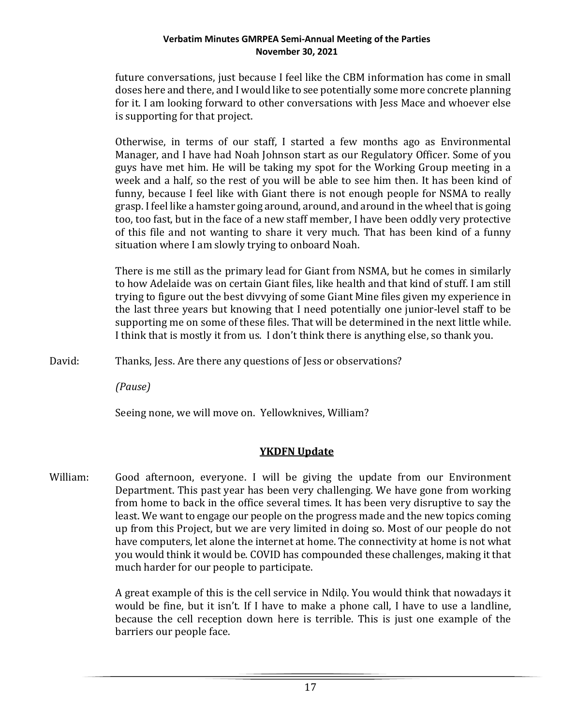future conversations, just because I feel like the CBM information has come in small doses here and there, and I would like to see potentially some more concrete planning for it. I am looking forward to other conversations with Jess Mace and whoever else is supporting for that project.

Otherwise, in terms of our staff, I started a few months ago as Environmental Manager, and I have had Noah Johnson start as our Regulatory Officer. Some of you guys have met him. He will be taking my spot for the Working Group meeting in a week and a half, so the rest of you will be able to see him then. It has been kind of funny, because I feel like with Giant there is not enough people for NSMA to really grasp. I feel like a hamster going around, around, and around in the wheel that is going too, too fast, but in the face of a new staff member, I have been oddly very protective of this file and not wanting to share it very much. That has been kind of a funny situation where I am slowly trying to onboard Noah.

There is me still as the primary lead for Giant from NSMA, but he comes in similarly to how Adelaide was on certain Giant files, like health and that kind of stuff. I am still trying to figure out the best divvying of some Giant Mine files given my experience in the last three years but knowing that I need potentially one junior-level staff to be supporting me on some of these files. That will be determined in the next little while. I think that is mostly it from us. I don't think there is anything else, so thank you.

David: Thanks, Jess. Are there any questions of Jess or observations?

*(Pause)*

Seeing none, we will move on. Yellowknives, William?

# **YKDFN Update**

William: Good afternoon, everyone. I will be giving the update from our Environment Department. This past year has been very challenging. We have gone from working from home to back in the office several times. It has been very disruptive to say the least. We want to engage our people on the progress made and the new topics coming up from this Project, but we are very limited in doing so. Most of our people do not have computers, let alone the internet at home. The connectivity at home is not what you would think it would be. COVID has compounded these challenges, making it that much harder for our people to participate.

> A great example of this is the cell service in Ndilo. You would think that nowadays it would be fine, but it isn't. If I have to make a phone call, I have to use a landline, because the cell reception down here is terrible. This is just one example of the barriers our people face.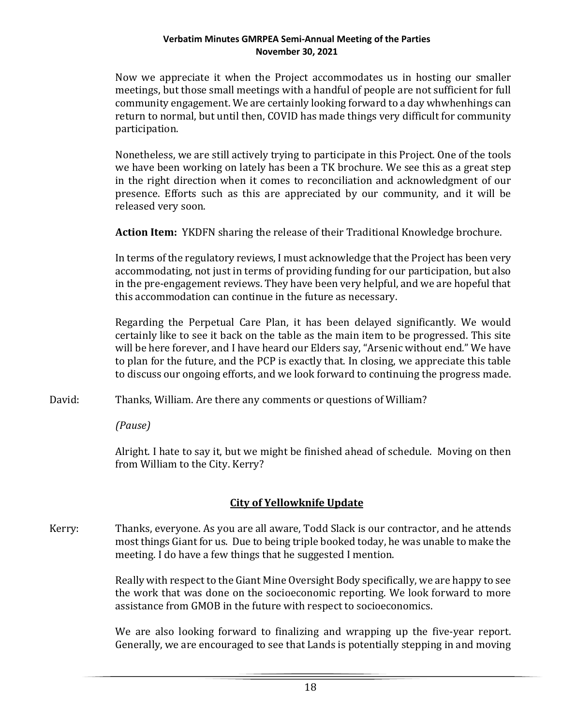Now we appreciate it when the Project accommodates us in hosting our smaller meetings, but those small meetings with a handful of people are not sufficient for full community engagement. We are certainly looking forward to a day whwhenhings can return to normal, but until then, COVID has made things very difficult for community participation.

Nonetheless, we are still actively trying to participate in this Project. One of the tools we have been working on lately has been a TK brochure. We see this as a great step in the right direction when it comes to reconciliation and acknowledgment of our presence. Efforts such as this are appreciated by our community, and it will be released very soon.

**Action Item:** YKDFN sharing the release of their Traditional Knowledge brochure.

In terms of the regulatory reviews, I must acknowledge that the Project has been very accommodating, not just in terms of providing funding for our participation, but also in the pre-engagement reviews. They have been very helpful, and we are hopeful that this accommodation can continue in the future as necessary.

Regarding the Perpetual Care Plan, it has been delayed significantly. We would certainly like to see it back on the table as the main item to be progressed. This site will be here forever, and I have heard our Elders say, "Arsenic without end." We have to plan for the future, and the PCP is exactly that. In closing, we appreciate this table to discuss our ongoing efforts, and we look forward to continuing the progress made.

David: Thanks, William. Are there any comments or questions of William?

*(Pause)*

Alright. I hate to say it, but we might be finished ahead of schedule. Moving on then from William to the City. Kerry?

# **City of Yellowknife Update**

Kerry: Thanks, everyone. As you are all aware, Todd Slack is our contractor, and he attends most things Giant for us. Due to being triple booked today, he was unable to make the meeting. I do have a few things that he suggested I mention.

> Really with respect to the Giant Mine Oversight Body specifically, we are happy to see the work that was done on the socioeconomic reporting. We look forward to more assistance from GMOB in the future with respect to socioeconomics.

> We are also looking forward to finalizing and wrapping up the five-year report. Generally, we are encouraged to see that Lands is potentially stepping in and moving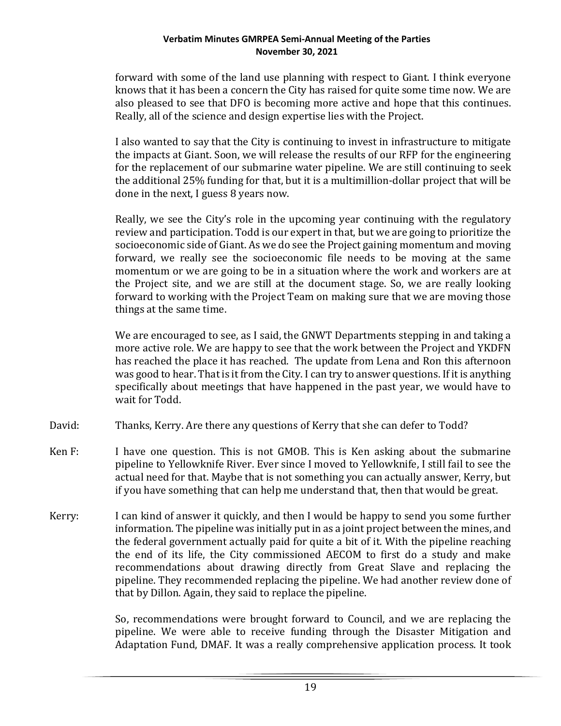forward with some of the land use planning with respect to Giant. I think everyone knows that it has been a concern the City has raised for quite some time now. We are also pleased to see that DFO is becoming more active and hope that this continues. Really, all of the science and design expertise lies with the Project.

I also wanted to say that the City is continuing to invest in infrastructure to mitigate the impacts at Giant. Soon, we will release the results of our RFP for the engineering for the replacement of our submarine water pipeline. We are still continuing to seek the additional 25% funding for that, but it is a multimillion-dollar project that will be done in the next, I guess 8 years now.

Really, we see the City's role in the upcoming year continuing with the regulatory review and participation. Todd is our expert in that, but we are going to prioritize the socioeconomic side of Giant. As we do see the Project gaining momentum and moving forward, we really see the socioeconomic file needs to be moving at the same momentum or we are going to be in a situation where the work and workers are at the Project site, and we are still at the document stage. So, we are really looking forward to working with the Project Team on making sure that we are moving those things at the same time.

We are encouraged to see, as I said, the GNWT Departments stepping in and taking a more active role. We are happy to see that the work between the Project and YKDFN has reached the place it has reached. The update from Lena and Ron this afternoon was good to hear. That is it from the City. I can try to answer questions. If it is anything specifically about meetings that have happened in the past year, we would have to wait for Todd.

- David: Thanks, Kerry. Are there any questions of Kerry that she can defer to Todd?
- Ken F: I have one question. This is not GMOB. This is Ken asking about the submarine pipeline to Yellowknife River. Ever since I moved to Yellowknife, I still fail to see the actual need for that. Maybe that is not something you can actually answer, Kerry, but if you have something that can help me understand that, then that would be great.
- Kerry: I can kind of answer it quickly, and then I would be happy to send you some further information. The pipeline was initially put in as a joint project between the mines, and the federal government actually paid for quite a bit of it. With the pipeline reaching the end of its life, the City commissioned AECOM to first do a study and make recommendations about drawing directly from Great Slave and replacing the pipeline. They recommended replacing the pipeline. We had another review done of that by Dillon. Again, they said to replace the pipeline.

So, recommendations were brought forward to Council, and we are replacing the pipeline. We were able to receive funding through the Disaster Mitigation and Adaptation Fund, DMAF. It was a really comprehensive application process. It took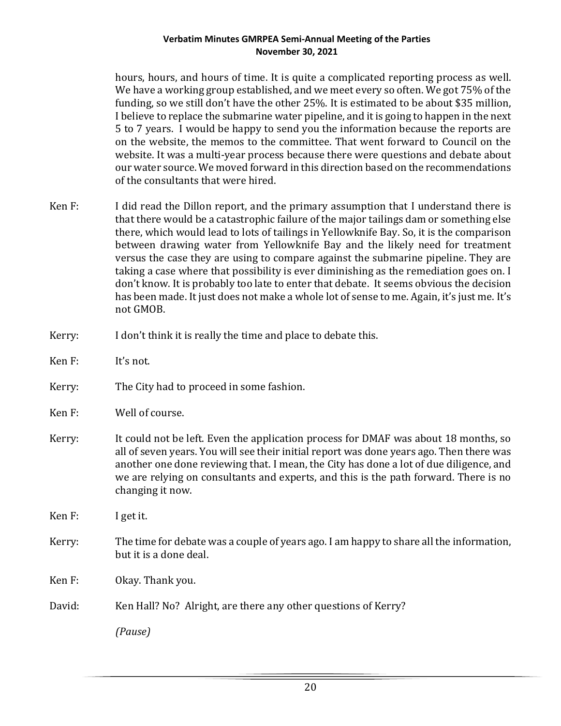hours, hours, and hours of time. It is quite a complicated reporting process as well. We have a working group established, and we meet every so often. We got 75% of the funding, so we still don't have the other 25%. It is estimated to be about \$35 million, I believe to replace the submarine water pipeline, and it is going to happen in the next 5 to 7 years. I would be happy to send you the information because the reports are on the website, the memos to the committee. That went forward to Council on the website. It was a multi-year process because there were questions and debate about our water source. We moved forward in this direction based on the recommendations of the consultants that were hired.

- Ken F: I did read the Dillon report, and the primary assumption that I understand there is that there would be a catastrophic failure of the major tailings dam or something else there, which would lead to lots of tailings in Yellowknife Bay. So, it is the comparison between drawing water from Yellowknife Bay and the likely need for treatment versus the case they are using to compare against the submarine pipeline. They are taking a case where that possibility is ever diminishing as the remediation goes on. I don't know. It is probably too late to enter that debate. It seems obvious the decision has been made. It just does not make a whole lot of sense to me. Again, it's just me. It's not GMOB.
- Kerry: I don't think it is really the time and place to debate this.
- Ken F: It's not.
- Kerry: The City had to proceed in some fashion.
- Ken F: Well of course.
- Kerry: It could not be left. Even the application process for DMAF was about 18 months, so all of seven years. You will see their initial report was done years ago. Then there was another one done reviewing that. I mean, the City has done a lot of due diligence, and we are relying on consultants and experts, and this is the path forward. There is no changing it now.
- Ken F: I get it.
- Kerry: The time for debate was a couple of years ago. I am happy to share all the information, but it is a done deal.
- Ken F: Okay. Thank you.
- David: Ken Hall? No? Alright, are there any other questions of Kerry?

*(Pause)*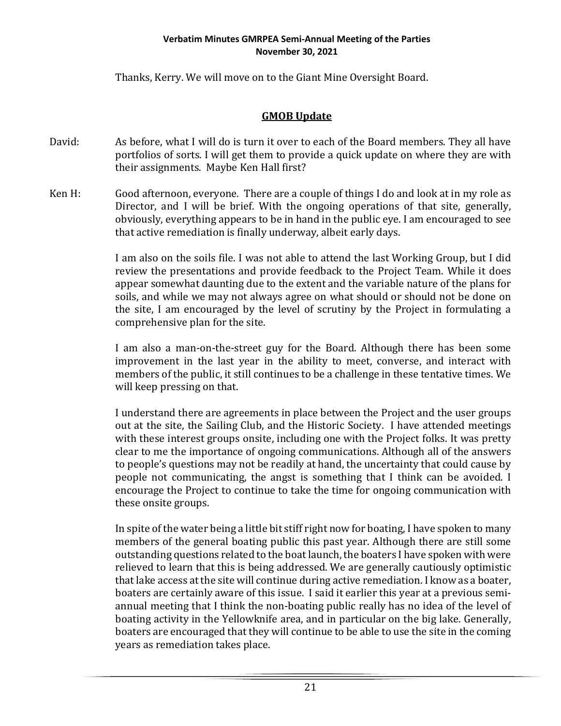Thanks, Kerry. We will move on to the Giant Mine Oversight Board.

## **GMOB Update**

- David: As before, what I will do is turn it over to each of the Board members. They all have portfolios of sorts. I will get them to provide a quick update on where they are with their assignments. Maybe Ken Hall first?
- Ken H: Good afternoon, everyone. There are a couple of things I do and look at in my role as Director, and I will be brief. With the ongoing operations of that site, generally, obviously, everything appears to be in hand in the public eye. I am encouraged to see that active remediation is finally underway, albeit early days.

I am also on the soils file. I was not able to attend the last Working Group, but I did review the presentations and provide feedback to the Project Team. While it does appear somewhat daunting due to the extent and the variable nature of the plans for soils, and while we may not always agree on what should or should not be done on the site, I am encouraged by the level of scrutiny by the Project in formulating a comprehensive plan for the site.

I am also a man-on-the-street guy for the Board. Although there has been some improvement in the last year in the ability to meet, converse, and interact with members of the public, it still continues to be a challenge in these tentative times. We will keep pressing on that.

I understand there are agreements in place between the Project and the user groups out at the site, the Sailing Club, and the Historic Society. I have attended meetings with these interest groups onsite, including one with the Project folks. It was pretty clear to me the importance of ongoing communications. Although all of the answers to people's questions may not be readily at hand, the uncertainty that could cause by people not communicating, the angst is something that I think can be avoided. I encourage the Project to continue to take the time for ongoing communication with these onsite groups.

In spite of the water being a little bit stiff right now for boating, I have spoken to many members of the general boating public this past year. Although there are still some outstanding questions related to the boat launch, the boaters I have spoken with were relieved to learn that this is being addressed. We are generally cautiously optimistic that lake access at the site will continue during active remediation. I know as a boater, boaters are certainly aware of this issue. I said it earlier this year at a previous semiannual meeting that I think the non-boating public really has no idea of the level of boating activity in the Yellowknife area, and in particular on the big lake. Generally, boaters are encouraged that they will continue to be able to use the site in the coming years as remediation takes place.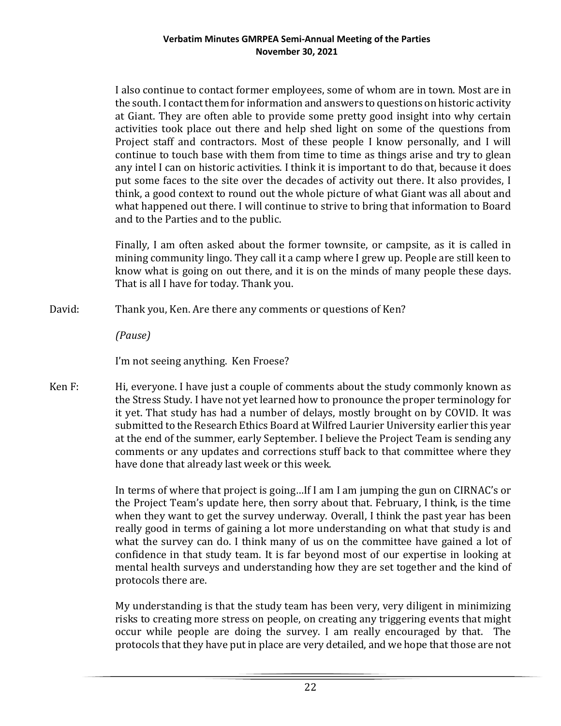I also continue to contact former employees, some of whom are in town. Most are in the south. I contact them for information and answers to questions on historic activity at Giant. They are often able to provide some pretty good insight into why certain activities took place out there and help shed light on some of the questions from Project staff and contractors. Most of these people I know personally, and I will continue to touch base with them from time to time as things arise and try to glean any intel I can on historic activities. I think it is important to do that, because it does put some faces to the site over the decades of activity out there. It also provides, I think, a good context to round out the whole picture of what Giant was all about and what happened out there. I will continue to strive to bring that information to Board and to the Parties and to the public.

Finally, I am often asked about the former townsite, or campsite, as it is called in mining community lingo. They call it a camp where I grew up. People are still keen to know what is going on out there, and it is on the minds of many people these days. That is all I have for today. Thank you.

David: Thank you, Ken. Are there any comments or questions of Ken?

*(Pause)*

I'm not seeing anything. Ken Froese?

Ken F: Hi, everyone. I have just a couple of comments about the study commonly known as the Stress Study. I have not yet learned how to pronounce the proper terminology for it yet. That study has had a number of delays, mostly brought on by COVID. It was submitted to the Research Ethics Board at Wilfred Laurier University earlier this year at the end of the summer, early September. I believe the Project Team is sending any comments or any updates and corrections stuff back to that committee where they have done that already last week or this week.

> In terms of where that project is going…If I am I am jumping the gun on CIRNAC's or the Project Team's update here, then sorry about that. February, I think, is the time when they want to get the survey underway. Overall, I think the past year has been really good in terms of gaining a lot more understanding on what that study is and what the survey can do. I think many of us on the committee have gained a lot of confidence in that study team. It is far beyond most of our expertise in looking at mental health surveys and understanding how they are set together and the kind of protocols there are.

> My understanding is that the study team has been very, very diligent in minimizing risks to creating more stress on people, on creating any triggering events that might occur while people are doing the survey. I am really encouraged by that. The protocols that they have put in place are very detailed, and we hope that those are not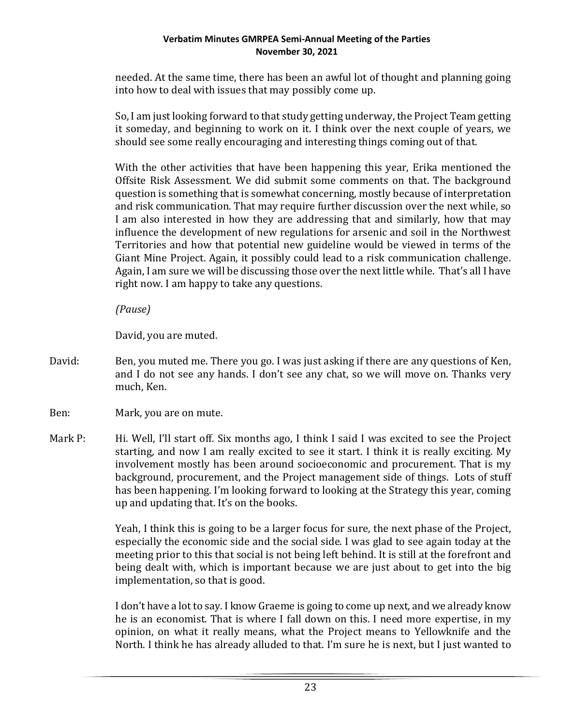needed. At the same time, there has been an awful lot of thought and planning going into how to deal with issues that may possibly come up.

So, I am just looking forward to that study getting underway, the Project Team getting it someday, and beginning to work on it. I think over the next couple of years, we should see some really encouraging and interesting things coming out of that.

With the other activities that have been happening this year, Erika mentioned the Offsite Risk Assessment. We did submit some comments on that. The background question is something that is somewhat concerning, mostly because of interpretation and risk communication. That may require further discussion over the next while, so I am also interested in how they are addressing that and similarly, how that may influence the development of new regulations for arsenic and soil in the Northwest Territories and how that potential new guideline would be viewed in terms of the Giant Mine Project. Again, it possibly could lead to a risk communication challenge. Again, I am sure we will be discussing those over the next little while. That's all I have right now. I am happy to take any questions.

*(Pause)*

David, you are muted.

David: Ben, you muted me. There you go. I was just asking if there are any questions of Ken, and I do not see any hands. I don't see any chat, so we will move on. Thanks very much, Ken.

Ben: Mark, you are on mute.

Mark P: Hi. Well, I'll start off. Six months ago, I think I said I was excited to see the Project starting, and now I am really excited to see it start. I think it is really exciting. My involvement mostly has been around socioeconomic and procurement. That is my background, procurement, and the Project management side of things. Lots of stuff has been happening. I'm looking forward to looking at the Strategy this year, coming up and updating that. It's on the books.

> Yeah, I think this is going to be a larger focus for sure, the next phase of the Project, especially the economic side and the social side. I was glad to see again today at the meeting prior to this that social is not being left behind. It is still at the forefront and being dealt with, which is important because we are just about to get into the big implementation, so that is good.

> I don't have a lot to say. I know Graeme is going to come up next, and we already know he is an economist. That is where I fall down on this. I need more expertise, in my opinion, on what it really means, what the Project means to Yellowknife and the North. I think he has already alluded to that. I'm sure he is next, but I just wanted to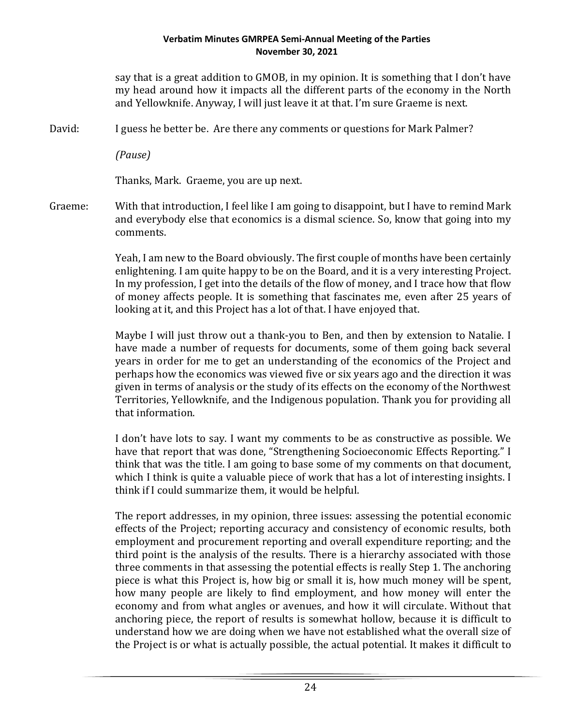say that is a great addition to GMOB, in my opinion. It is something that I don't have my head around how it impacts all the different parts of the economy in the North and Yellowknife. Anyway, I will just leave it at that. I'm sure Graeme is next.

David: I guess he better be. Are there any comments or questions for Mark Palmer?

*(Pause)*

Thanks, Mark. Graeme, you are up next.

Graeme: With that introduction, I feel like I am going to disappoint, but I have to remind Mark and everybody else that economics is a dismal science. So, know that going into my comments.

> Yeah, I am new to the Board obviously. The first couple of months have been certainly enlightening. I am quite happy to be on the Board, and it is a very interesting Project. In my profession, I get into the details of the flow of money, and I trace how that flow of money affects people. It is something that fascinates me, even after 25 years of looking at it, and this Project has a lot of that. I have enjoyed that.

> Maybe I will just throw out a thank-you to Ben, and then by extension to Natalie. I have made a number of requests for documents, some of them going back several years in order for me to get an understanding of the economics of the Project and perhaps how the economics was viewed five or six years ago and the direction it was given in terms of analysis or the study of its effects on the economy of the Northwest Territories, Yellowknife, and the Indigenous population. Thank you for providing all that information.

> I don't have lots to say. I want my comments to be as constructive as possible. We have that report that was done, "Strengthening Socioeconomic Effects Reporting." I think that was the title. I am going to base some of my comments on that document, which I think is quite a valuable piece of work that has a lot of interesting insights. I think if I could summarize them, it would be helpful.

> The report addresses, in my opinion, three issues: assessing the potential economic effects of the Project; reporting accuracy and consistency of economic results, both employment and procurement reporting and overall expenditure reporting; and the third point is the analysis of the results. There is a hierarchy associated with those three comments in that assessing the potential effects is really Step 1. The anchoring piece is what this Project is, how big or small it is, how much money will be spent, how many people are likely to find employment, and how money will enter the economy and from what angles or avenues, and how it will circulate. Without that anchoring piece, the report of results is somewhat hollow, because it is difficult to understand how we are doing when we have not established what the overall size of the Project is or what is actually possible, the actual potential. It makes it difficult to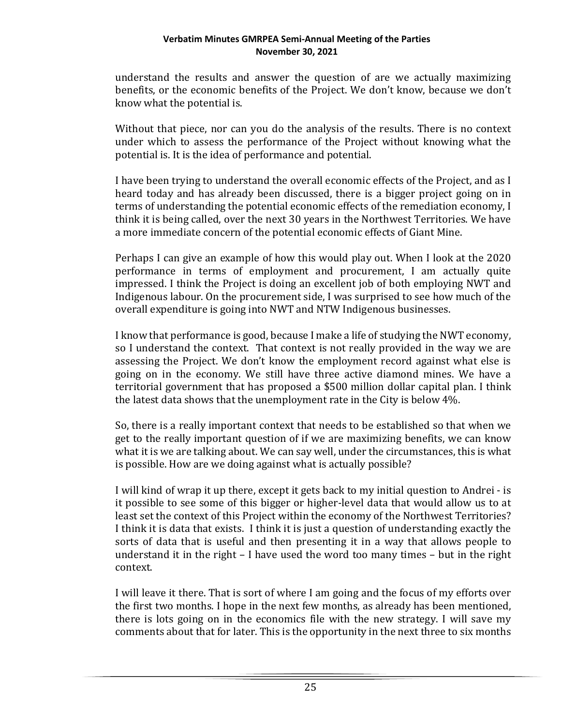understand the results and answer the question of are we actually maximizing benefits, or the economic benefits of the Project. We don't know, because we don't know what the potential is.

Without that piece, nor can you do the analysis of the results. There is no context under which to assess the performance of the Project without knowing what the potential is. It is the idea of performance and potential.

I have been trying to understand the overall economic effects of the Project, and as I heard today and has already been discussed, there is a bigger project going on in terms of understanding the potential economic effects of the remediation economy, I think it is being called, over the next 30 years in the Northwest Territories. We have a more immediate concern of the potential economic effects of Giant Mine.

Perhaps I can give an example of how this would play out. When I look at the 2020 performance in terms of employment and procurement, I am actually quite impressed. I think the Project is doing an excellent job of both employing NWT and Indigenous labour. On the procurement side, I was surprised to see how much of the overall expenditure is going into NWT and NTW Indigenous businesses.

I know that performance is good, because I make a life of studying the NWT economy, so I understand the context. That context is not really provided in the way we are assessing the Project. We don't know the employment record against what else is going on in the economy. We still have three active diamond mines. We have a territorial government that has proposed a \$500 million dollar capital plan. I think the latest data shows that the unemployment rate in the City is below 4%.

So, there is a really important context that needs to be established so that when we get to the really important question of if we are maximizing benefits, we can know what it is we are talking about. We can say well, under the circumstances, this is what is possible. How are we doing against what is actually possible?

I will kind of wrap it up there, except it gets back to my initial question to Andrei - is it possible to see some of this bigger or higher-level data that would allow us to at least set the context of this Project within the economy of the Northwest Territories? I think it is data that exists. I think it is just a question of understanding exactly the sorts of data that is useful and then presenting it in a way that allows people to understand it in the right – I have used the word too many times – but in the right context.

I will leave it there. That is sort of where I am going and the focus of my efforts over the first two months. I hope in the next few months, as already has been mentioned, there is lots going on in the economics file with the new strategy. I will save my comments about that for later. This is the opportunity in the next three to six months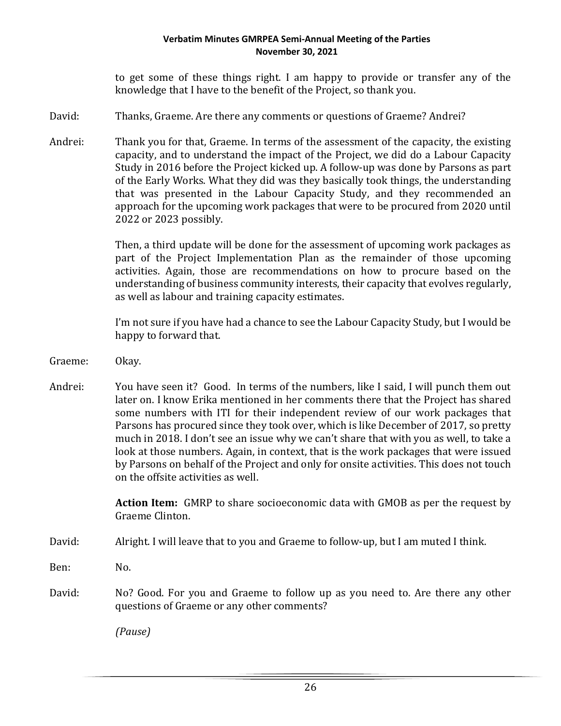to get some of these things right. I am happy to provide or transfer any of the knowledge that I have to the benefit of the Project, so thank you.

- David: Thanks, Graeme. Are there any comments or questions of Graeme? Andrei?
- Andrei: Thank you for that, Graeme. In terms of the assessment of the capacity, the existing capacity, and to understand the impact of the Project, we did do a Labour Capacity Study in 2016 before the Project kicked up. A follow-up was done by Parsons as part of the Early Works. What they did was they basically took things, the understanding that was presented in the Labour Capacity Study, and they recommended an approach for the upcoming work packages that were to be procured from 2020 until 2022 or 2023 possibly.

Then, a third update will be done for the assessment of upcoming work packages as part of the Project Implementation Plan as the remainder of those upcoming activities. Again, those are recommendations on how to procure based on the understanding of business community interests, their capacity that evolves regularly, as well as labour and training capacity estimates.

I'm not sure if you have had a chance to see the Labour Capacity Study, but I would be happy to forward that.

- Graeme: Okay.
- Andrei: You have seen it? Good. In terms of the numbers, like I said, I will punch them out later on. I know Erika mentioned in her comments there that the Project has shared some numbers with ITI for their independent review of our work packages that Parsons has procured since they took over, which is like December of 2017, so pretty much in 2018. I don't see an issue why we can't share that with you as well, to take a look at those numbers. Again, in context, that is the work packages that were issued by Parsons on behalf of the Project and only for onsite activities. This does not touch on the offsite activities as well.

**Action Item:** GMRP to share socioeconomic data with GMOB as per the request by Graeme Clinton.

- David: Alright. I will leave that to you and Graeme to follow-up, but I am muted I think.
- Ben: No.
- David: No? Good. For you and Graeme to follow up as you need to. Are there any other questions of Graeme or any other comments?

*(Pause)*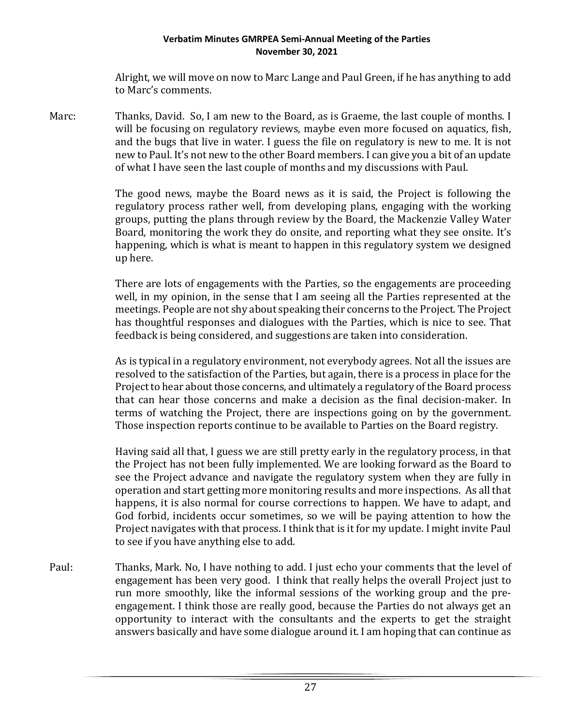Alright, we will move on now to Marc Lange and Paul Green, if he has anything to add to Marc's comments.

Marc: Thanks, David. So, I am new to the Board, as is Graeme, the last couple of months. I will be focusing on regulatory reviews, maybe even more focused on aquatics, fish, and the bugs that live in water. I guess the file on regulatory is new to me. It is not new to Paul. It's not new to the other Board members. I can give you a bit of an update of what I have seen the last couple of months and my discussions with Paul.

> The good news, maybe the Board news as it is said, the Project is following the regulatory process rather well, from developing plans, engaging with the working groups, putting the plans through review by the Board, the Mackenzie Valley Water Board, monitoring the work they do onsite, and reporting what they see onsite. It's happening, which is what is meant to happen in this regulatory system we designed up here.

> There are lots of engagements with the Parties, so the engagements are proceeding well, in my opinion, in the sense that I am seeing all the Parties represented at the meetings. People are not shy about speaking their concerns to the Project. The Project has thoughtful responses and dialogues with the Parties, which is nice to see. That feedback is being considered, and suggestions are taken into consideration.

> As is typical in a regulatory environment, not everybody agrees. Not all the issues are resolved to the satisfaction of the Parties, but again, there is a process in place for the Project to hear about those concerns, and ultimately a regulatory of the Board process that can hear those concerns and make a decision as the final decision-maker. In terms of watching the Project, there are inspections going on by the government. Those inspection reports continue to be available to Parties on the Board registry.

> Having said all that, I guess we are still pretty early in the regulatory process, in that the Project has not been fully implemented. We are looking forward as the Board to see the Project advance and navigate the regulatory system when they are fully in operation and start getting more monitoring results and more inspections. As all that happens, it is also normal for course corrections to happen. We have to adapt, and God forbid, incidents occur sometimes, so we will be paying attention to how the Project navigates with that process. I think that is it for my update. I might invite Paul to see if you have anything else to add.

Paul: Thanks, Mark. No, I have nothing to add. I just echo your comments that the level of engagement has been very good. I think that really helps the overall Project just to run more smoothly, like the informal sessions of the working group and the preengagement. I think those are really good, because the Parties do not always get an opportunity to interact with the consultants and the experts to get the straight answers basically and have some dialogue around it. I am hoping that can continue as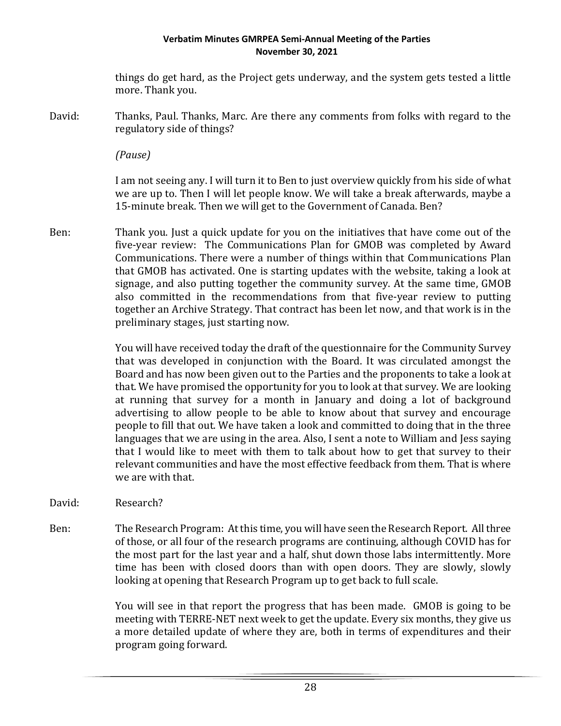things do get hard, as the Project gets underway, and the system gets tested a little more. Thank you.

David: Thanks, Paul. Thanks, Marc. Are there any comments from folks with regard to the regulatory side of things?

*(Pause)*

I am not seeing any. I will turn it to Ben to just overview quickly from his side of what we are up to. Then I will let people know. We will take a break afterwards, maybe a 15-minute break. Then we will get to the Government of Canada. Ben?

Ben: Thank you. Just a quick update for you on the initiatives that have come out of the five-year review: The Communications Plan for GMOB was completed by Award Communications. There were a number of things within that Communications Plan that GMOB has activated. One is starting updates with the website, taking a look at signage, and also putting together the community survey. At the same time, GMOB also committed in the recommendations from that five-year review to putting together an Archive Strategy. That contract has been let now, and that work is in the preliminary stages, just starting now.

> You will have received today the draft of the questionnaire for the Community Survey that was developed in conjunction with the Board. It was circulated amongst the Board and has now been given out to the Parties and the proponents to take a look at that. We have promised the opportunity for you to look at that survey. We are looking at running that survey for a month in January and doing a lot of background advertising to allow people to be able to know about that survey and encourage people to fill that out. We have taken a look and committed to doing that in the three languages that we are using in the area. Also, I sent a note to William and Jess saying that I would like to meet with them to talk about how to get that survey to their relevant communities and have the most effective feedback from them. That is where we are with that.

- David: Research?
- Ben: The Research Program: At this time, you will have seen the Research Report. All three of those, or all four of the research programs are continuing, although COVID has for the most part for the last year and a half, shut down those labs intermittently. More time has been with closed doors than with open doors. They are slowly, slowly looking at opening that Research Program up to get back to full scale.

You will see in that report the progress that has been made. GMOB is going to be meeting with TERRE-NET next week to get the update. Every six months, they give us a more detailed update of where they are, both in terms of expenditures and their program going forward.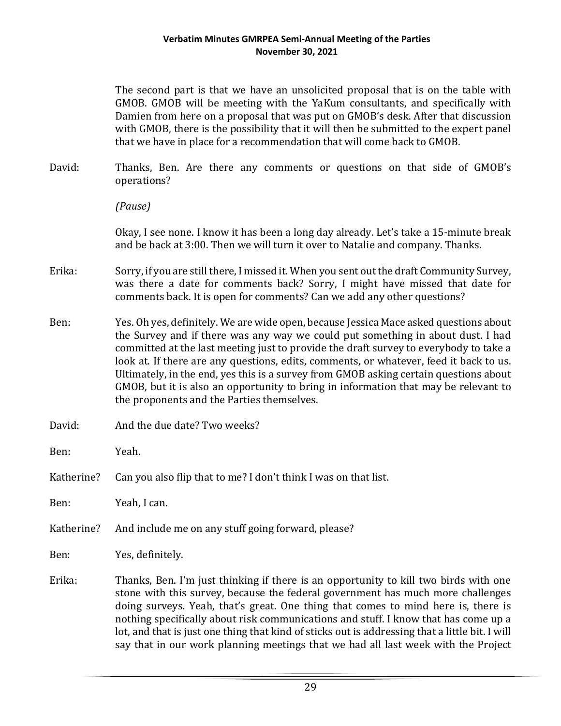The second part is that we have an unsolicited proposal that is on the table with GMOB. GMOB will be meeting with the YaKum consultants, and specifically with Damien from here on a proposal that was put on GMOB's desk. After that discussion with GMOB, there is the possibility that it will then be submitted to the expert panel that we have in place for a recommendation that will come back to GMOB.

- David: Thanks, Ben. Are there any comments or questions on that side of GMOB's operations?
	- *(Pause)*

Okay, I see none. I know it has been a long day already. Let's take a 15-minute break and be back at 3:00. Then we will turn it over to Natalie and company. Thanks.

- Erika: Sorry, if you are still there, I missed it. When you sent out the draft Community Survey, was there a date for comments back? Sorry, I might have missed that date for comments back. It is open for comments? Can we add any other questions?
- Ben: Yes. Oh yes, definitely. We are wide open, because Jessica Mace asked questions about the Survey and if there was any way we could put something in about dust. I had committed at the last meeting just to provide the draft survey to everybody to take a look at. If there are any questions, edits, comments, or whatever, feed it back to us. Ultimately, in the end, yes this is a survey from GMOB asking certain questions about GMOB, but it is also an opportunity to bring in information that may be relevant to the proponents and the Parties themselves.
- David: And the due date? Two weeks?
- Ben: Yeah.
- Katherine? Can you also flip that to me? I don't think I was on that list.

Ben: Yeah, I can.

Katherine? And include me on any stuff going forward, please?

Ben: Yes, definitely.

Erika: Thanks, Ben. I'm just thinking if there is an opportunity to kill two birds with one stone with this survey, because the federal government has much more challenges doing surveys. Yeah, that's great. One thing that comes to mind here is, there is nothing specifically about risk communications and stuff. I know that has come up a lot, and that is just one thing that kind of sticks out is addressing that a little bit. I will say that in our work planning meetings that we had all last week with the Project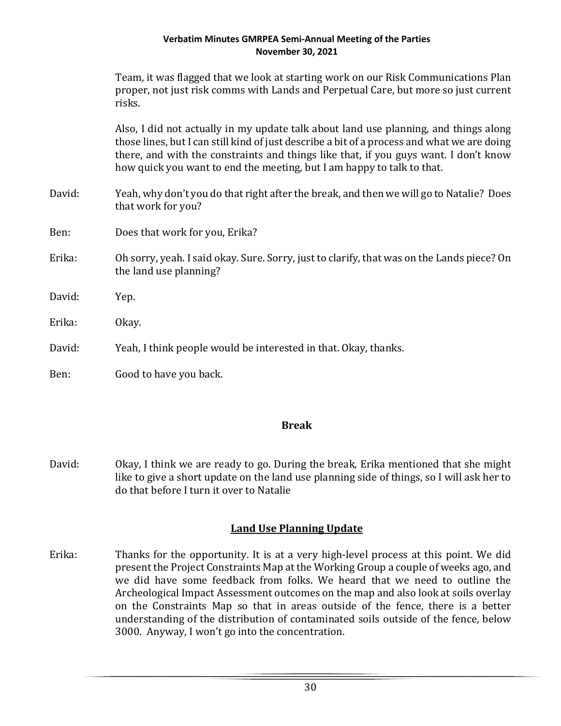|        | Team, it was flagged that we look at starting work on our Risk Communications Plan<br>proper, not just risk comms with Lands and Perpetual Care, but more so just current<br>risks.                                                                                                                                                                   |
|--------|-------------------------------------------------------------------------------------------------------------------------------------------------------------------------------------------------------------------------------------------------------------------------------------------------------------------------------------------------------|
|        | Also, I did not actually in my update talk about land use planning, and things along<br>those lines, but I can still kind of just describe a bit of a process and what we are doing<br>there, and with the constraints and things like that, if you guys want. I don't know<br>how quick you want to end the meeting, but I am happy to talk to that. |
| David: | Yeah, why don't you do that right after the break, and then we will go to Natalie? Does<br>that work for you?                                                                                                                                                                                                                                         |
| Ben:   | Does that work for you, Erika?                                                                                                                                                                                                                                                                                                                        |
| Erika: | Oh sorry, yeah. I said okay. Sure. Sorry, just to clarify, that was on the Lands piece? On<br>the land use planning?                                                                                                                                                                                                                                  |
| David: | Yep.                                                                                                                                                                                                                                                                                                                                                  |
| Erika: | Okay.                                                                                                                                                                                                                                                                                                                                                 |
| David: | Yeah, I think people would be interested in that. Okay, thanks.                                                                                                                                                                                                                                                                                       |
| Ben:   | Good to have you back.                                                                                                                                                                                                                                                                                                                                |

## **Break**

David: Okay, I think we are ready to go. During the break, Erika mentioned that she might like to give a short update on the land use planning side of things, so I will ask her to do that before I turn it over to Natalie

# **Land Use Planning Update**

Erika: Thanks for the opportunity. It is at a very high-level process at this point. We did present the Project Constraints Map at the Working Group a couple of weeks ago, and we did have some feedback from folks. We heard that we need to outline the Archeological Impact Assessment outcomes on the map and also look at soils overlay on the Constraints Map so that in areas outside of the fence, there is a better understanding of the distribution of contaminated soils outside of the fence, below 3000. Anyway, I won't go into the concentration.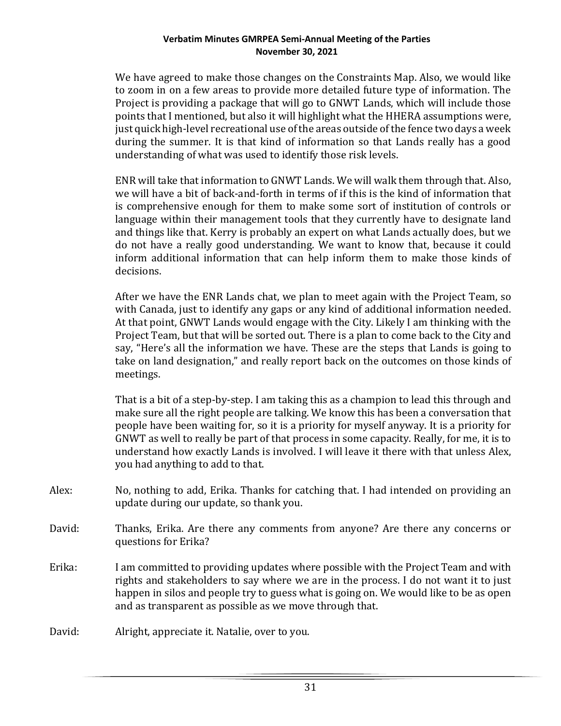We have agreed to make those changes on the Constraints Map. Also, we would like to zoom in on a few areas to provide more detailed future type of information. The Project is providing a package that will go to GNWT Lands, which will include those points that I mentioned, but also it will highlight what the HHERA assumptions were, just quick high-level recreational use of the areas outside of the fence two days a week during the summer. It is that kind of information so that Lands really has a good understanding of what was used to identify those risk levels.

ENR will take that information to GNWT Lands. We will walk them through that. Also, we will have a bit of back-and-forth in terms of if this is the kind of information that is comprehensive enough for them to make some sort of institution of controls or language within their management tools that they currently have to designate land and things like that. Kerry is probably an expert on what Lands actually does, but we do not have a really good understanding. We want to know that, because it could inform additional information that can help inform them to make those kinds of decisions.

After we have the ENR Lands chat, we plan to meet again with the Project Team, so with Canada, just to identify any gaps or any kind of additional information needed. At that point, GNWT Lands would engage with the City. Likely I am thinking with the Project Team, but that will be sorted out. There is a plan to come back to the City and say, "Here's all the information we have. These are the steps that Lands is going to take on land designation," and really report back on the outcomes on those kinds of meetings.

That is a bit of a step-by-step. I am taking this as a champion to lead this through and make sure all the right people are talking. We know this has been a conversation that people have been waiting for, so it is a priority for myself anyway. It is a priority for GNWT as well to really be part of that process in some capacity. Really, for me, it is to understand how exactly Lands is involved. I will leave it there with that unless Alex, you had anything to add to that.

- Alex: No, nothing to add, Erika. Thanks for catching that. I had intended on providing an update during our update, so thank you.
- David: Thanks, Erika. Are there any comments from anyone? Are there any concerns or questions for Erika?
- Erika: I am committed to providing updates where possible with the Project Team and with rights and stakeholders to say where we are in the process. I do not want it to just happen in silos and people try to guess what is going on. We would like to be as open and as transparent as possible as we move through that.

David: Alright, appreciate it. Natalie, over to you.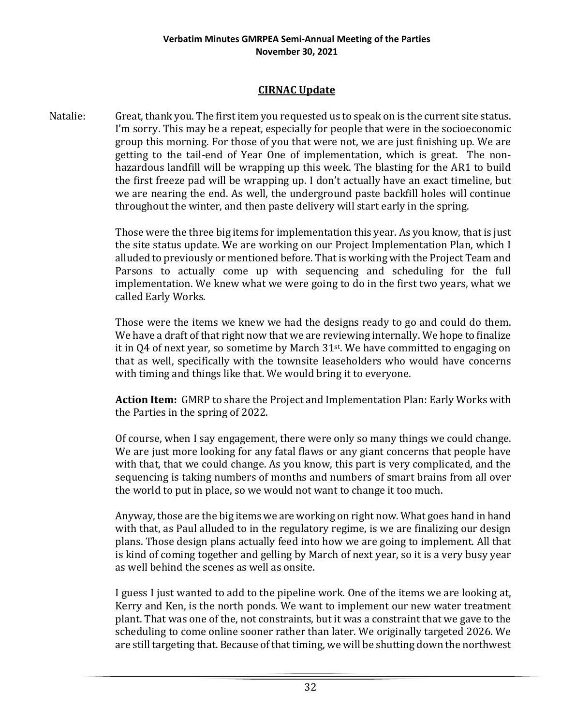# **CIRNAC Update**

Natalie: Great, thank you. The first item you requested us to speak on is the current site status. I'm sorry. This may be a repeat, especially for people that were in the socioeconomic group this morning. For those of you that were not, we are just finishing up. We are getting to the tail-end of Year One of implementation, which is great. The nonhazardous landfill will be wrapping up this week. The blasting for the AR1 to build the first freeze pad will be wrapping up. I don't actually have an exact timeline, but we are nearing the end. As well, the underground paste backfill holes will continue throughout the winter, and then paste delivery will start early in the spring.

> Those were the three big items for implementation this year. As you know, that is just the site status update. We are working on our Project Implementation Plan, which I alluded to previously or mentioned before. That is working with the Project Team and Parsons to actually come up with sequencing and scheduling for the full implementation. We knew what we were going to do in the first two years, what we called Early Works.

> Those were the items we knew we had the designs ready to go and could do them. We have a draft of that right now that we are reviewing internally. We hope to finalize it in Q4 of next year, so sometime by March 31st. We have committed to engaging on that as well, specifically with the townsite leaseholders who would have concerns with timing and things like that. We would bring it to everyone.

> **Action Item:** GMRP to share the Project and Implementation Plan: Early Works with the Parties in the spring of 2022.

> Of course, when I say engagement, there were only so many things we could change. We are just more looking for any fatal flaws or any giant concerns that people have with that, that we could change. As you know, this part is very complicated, and the sequencing is taking numbers of months and numbers of smart brains from all over the world to put in place, so we would not want to change it too much.

> Anyway, those are the big items we are working on right now. What goes hand in hand with that, as Paul alluded to in the regulatory regime, is we are finalizing our design plans. Those design plans actually feed into how we are going to implement. All that is kind of coming together and gelling by March of next year, so it is a very busy year as well behind the scenes as well as onsite.

> I guess I just wanted to add to the pipeline work. One of the items we are looking at, Kerry and Ken, is the north ponds. We want to implement our new water treatment plant. That was one of the, not constraints, but it was a constraint that we gave to the scheduling to come online sooner rather than later. We originally targeted 2026. We are still targeting that. Because of that timing, we will be shutting down the northwest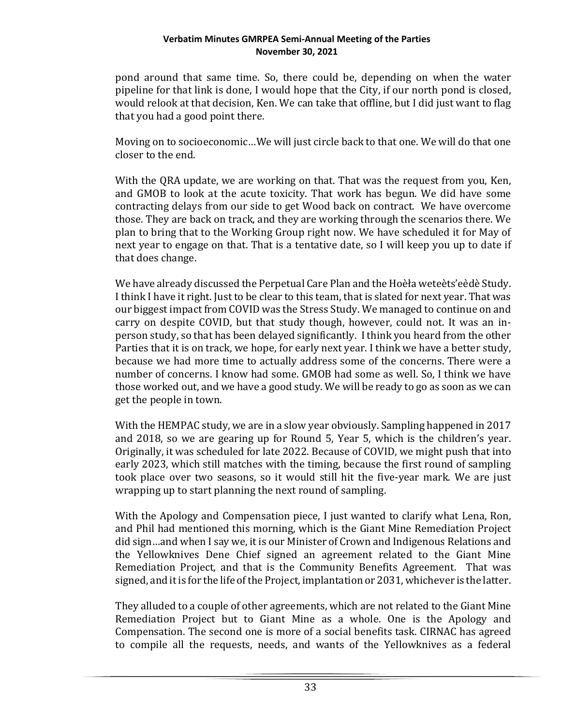pond around that same time. So, there could be, depending on when the water pipeline for that link is done, I would hope that the City, if our north pond is closed, would relook at that decision, Ken. We can take that offline, but I did just want to flag that you had a good point there.

Moving on to socioeconomic…We will just circle back to that one. We will do that one closer to the end.

With the QRA update, we are working on that. That was the request from you, Ken, and GMOB to look at the acute toxicity. That work has begun. We did have some contracting delays from our side to get Wood back on contract. We have overcome those. They are back on track, and they are working through the scenarios there. We plan to bring that to the Working Group right now. We have scheduled it for May of next year to engage on that. That is a tentative date, so I will keep you up to date if that does change.

We have already discussed the Perpetual Care Plan and the Hoèła weteèts'eèdè Study. I think I have it right. Just to be clear to this team, that is slated for next year. That was our biggest impact from COVID was the Stress Study. We managed to continue on and carry on despite COVID, but that study though, however, could not. It was an inperson study, so that has been delayed significantly. I think you heard from the other Parties that it is on track, we hope, for early next year. I think we have a better study, because we had more time to actually address some of the concerns. There were a number of concerns. I know had some. GMOB had some as well. So, I think we have those worked out, and we have a good study. We will be ready to go as soon as we can get the people in town.

With the HEMPAC study, we are in a slow year obviously. Sampling happened in 2017 and 2018, so we are gearing up for Round 5, Year 5, which is the children's year. Originally, it was scheduled for late 2022. Because of COVID, we might push that into early 2023, which still matches with the timing, because the first round of sampling took place over two seasons, so it would still hit the five-year mark. We are just wrapping up to start planning the next round of sampling.

With the Apology and Compensation piece, I just wanted to clarify what Lena, Ron, and Phil had mentioned this morning, which is the Giant Mine Remediation Project did sign…and when I say we, it is our Minister of Crown and Indigenous Relations and the Yellowknives Dene Chief signed an agreement related to the Giant Mine Remediation Project, and that is the Community Benefits Agreement. That was signed, and it is for the life of the Project, implantation or 2031, whichever is the latter.

They alluded to a couple of other agreements, which are not related to the Giant Mine Remediation Project but to Giant Mine as a whole. One is the Apology and Compensation. The second one is more of a social benefits task. CIRNAC has agreed to compile all the requests, needs, and wants of the Yellowknives as a federal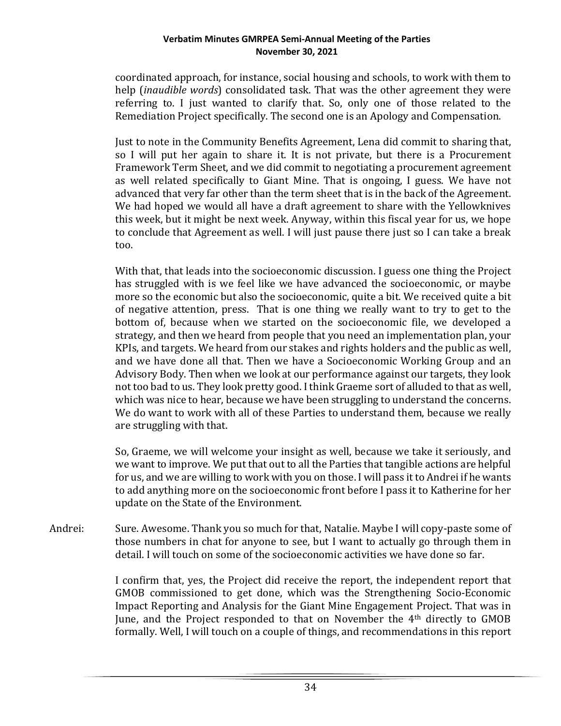coordinated approach, for instance, social housing and schools, to work with them to help (*inaudible words*) consolidated task. That was the other agreement they were referring to. I just wanted to clarify that. So, only one of those related to the Remediation Project specifically. The second one is an Apology and Compensation.

Just to note in the Community Benefits Agreement, Lena did commit to sharing that, so I will put her again to share it. It is not private, but there is a Procurement Framework Term Sheet, and we did commit to negotiating a procurement agreement as well related specifically to Giant Mine. That is ongoing, I guess. We have not advanced that very far other than the term sheet that is in the back of the Agreement. We had hoped we would all have a draft agreement to share with the Yellowknives this week, but it might be next week. Anyway, within this fiscal year for us, we hope to conclude that Agreement as well. I will just pause there just so I can take a break too.

With that, that leads into the socioeconomic discussion. I guess one thing the Project has struggled with is we feel like we have advanced the socioeconomic, or maybe more so the economic but also the socioeconomic, quite a bit. We received quite a bit of negative attention, press. That is one thing we really want to try to get to the bottom of, because when we started on the socioeconomic file, we developed a strategy, and then we heard from people that you need an implementation plan, your KPIs, and targets. We heard from our stakes and rights holders and the public as well, and we have done all that. Then we have a Socioeconomic Working Group and an Advisory Body. Then when we look at our performance against our targets, they look not too bad to us. They look pretty good. I think Graeme sort of alluded to that as well, which was nice to hear, because we have been struggling to understand the concerns. We do want to work with all of these Parties to understand them, because we really are struggling with that.

So, Graeme, we will welcome your insight as well, because we take it seriously, and we want to improve. We put that out to all the Parties that tangible actions are helpful for us, and we are willing to work with you on those. I will pass it to Andrei if he wants to add anything more on the socioeconomic front before I pass it to Katherine for her update on the State of the Environment.

Andrei: Sure. Awesome. Thank you so much for that, Natalie. Maybe I will copy-paste some of those numbers in chat for anyone to see, but I want to actually go through them in detail. I will touch on some of the socioeconomic activities we have done so far.

> I confirm that, yes, the Project did receive the report, the independent report that GMOB commissioned to get done, which was the Strengthening Socio-Economic Impact Reporting and Analysis for the Giant Mine Engagement Project. That was in June, and the Project responded to that on November the 4<sup>th</sup> directly to GMOB formally. Well, I will touch on a couple of things, and recommendations in this report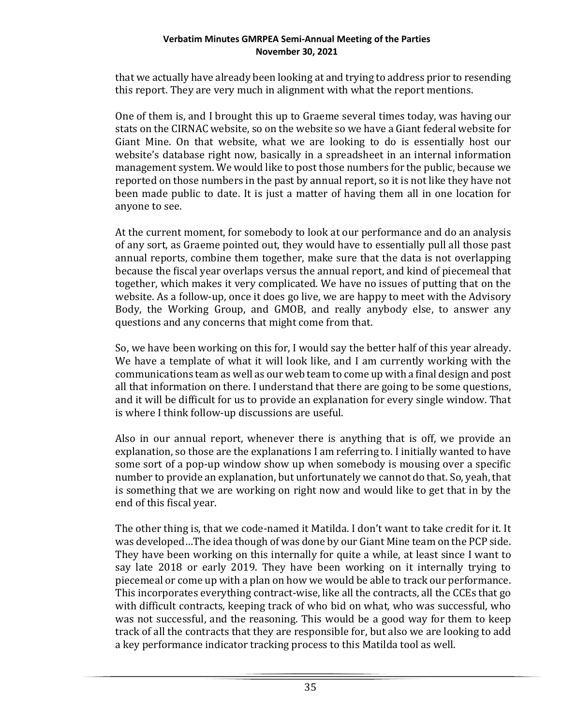that we actually have already been looking at and trying to address prior to resending this report. They are very much in alignment with what the report mentions.

One of them is, and I brought this up to Graeme several times today, was having our stats on the CIRNAC website, so on the website so we have a Giant federal website for Giant Mine. On that website, what we are looking to do is essentially host our website's database right now, basically in a spreadsheet in an internal information management system. We would like to post those numbers for the public, because we reported on those numbers in the past by annual report, so it is not like they have not been made public to date. It is just a matter of having them all in one location for anyone to see.

At the current moment, for somebody to look at our performance and do an analysis of any sort, as Graeme pointed out, they would have to essentially pull all those past annual reports, combine them together, make sure that the data is not overlapping because the fiscal year overlaps versus the annual report, and kind of piecemeal that together, which makes it very complicated. We have no issues of putting that on the website. As a follow-up, once it does go live, we are happy to meet with the Advisory Body, the Working Group, and GMOB, and really anybody else, to answer any questions and any concerns that might come from that.

So, we have been working on this for, I would say the better half of this year already. We have a template of what it will look like, and I am currently working with the communications team as well as our web team to come up with a final design and post all that information on there. I understand that there are going to be some questions, and it will be difficult for us to provide an explanation for every single window. That is where I think follow-up discussions are useful.

Also in our annual report, whenever there is anything that is off, we provide an explanation, so those are the explanations I am referring to. I initially wanted to have some sort of a pop-up window show up when somebody is mousing over a specific number to provide an explanation, but unfortunately we cannot do that. So, yeah, that is something that we are working on right now and would like to get that in by the end of this fiscal year.

The other thing is, that we code-named it Matilda. I don't want to take credit for it. It was developed…The idea though of was done by our Giant Mine team on the PCP side. They have been working on this internally for quite a while, at least since I want to say late 2018 or early 2019. They have been working on it internally trying to piecemeal or come up with a plan on how we would be able to track our performance. This incorporates everything contract-wise, like all the contracts, all the CCEs that go with difficult contracts, keeping track of who bid on what, who was successful, who was not successful, and the reasoning. This would be a good way for them to keep track of all the contracts that they are responsible for, but also we are looking to add a key performance indicator tracking process to this Matilda tool as well.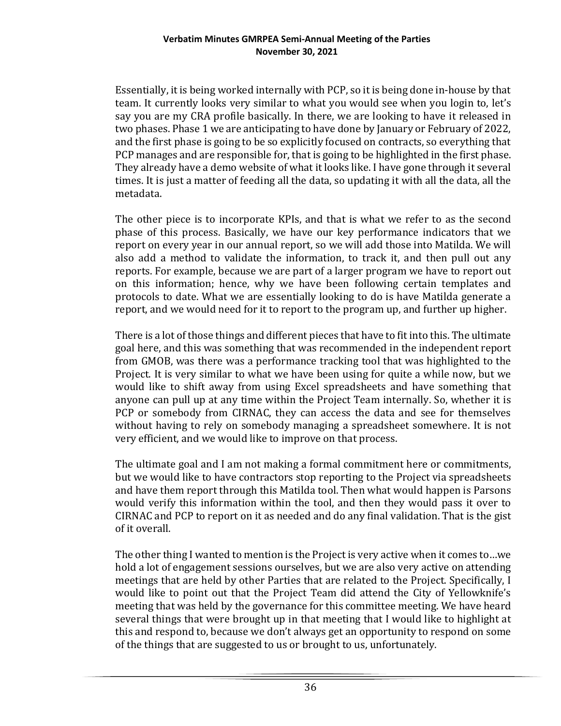Essentially, it is being worked internally with PCP, so it is being done in-house by that team. It currently looks very similar to what you would see when you login to, let's say you are my CRA profile basically. In there, we are looking to have it released in two phases. Phase 1 we are anticipating to have done by January or February of 2022, and the first phase is going to be so explicitly focused on contracts, so everything that PCP manages and are responsible for, that is going to be highlighted in the first phase. They already have a demo website of what it looks like. I have gone through it several times. It is just a matter of feeding all the data, so updating it with all the data, all the metadata.

The other piece is to incorporate KPIs, and that is what we refer to as the second phase of this process. Basically, we have our key performance indicators that we report on every year in our annual report, so we will add those into Matilda. We will also add a method to validate the information, to track it, and then pull out any reports. For example, because we are part of a larger program we have to report out on this information; hence, why we have been following certain templates and protocols to date. What we are essentially looking to do is have Matilda generate a report, and we would need for it to report to the program up, and further up higher.

There is a lot of those things and different pieces that have to fit into this. The ultimate goal here, and this was something that was recommended in the independent report from GMOB, was there was a performance tracking tool that was highlighted to the Project. It is very similar to what we have been using for quite a while now, but we would like to shift away from using Excel spreadsheets and have something that anyone can pull up at any time within the Project Team internally. So, whether it is PCP or somebody from CIRNAC, they can access the data and see for themselves without having to rely on somebody managing a spreadsheet somewhere. It is not very efficient, and we would like to improve on that process.

The ultimate goal and I am not making a formal commitment here or commitments, but we would like to have contractors stop reporting to the Project via spreadsheets and have them report through this Matilda tool. Then what would happen is Parsons would verify this information within the tool, and then they would pass it over to CIRNAC and PCP to report on it as needed and do any final validation. That is the gist of it overall.

The other thing I wanted to mention is the Project is very active when it comes to…we hold a lot of engagement sessions ourselves, but we are also very active on attending meetings that are held by other Parties that are related to the Project. Specifically, I would like to point out that the Project Team did attend the City of Yellowknife's meeting that was held by the governance for this committee meeting. We have heard several things that were brought up in that meeting that I would like to highlight at this and respond to, because we don't always get an opportunity to respond on some of the things that are suggested to us or brought to us, unfortunately.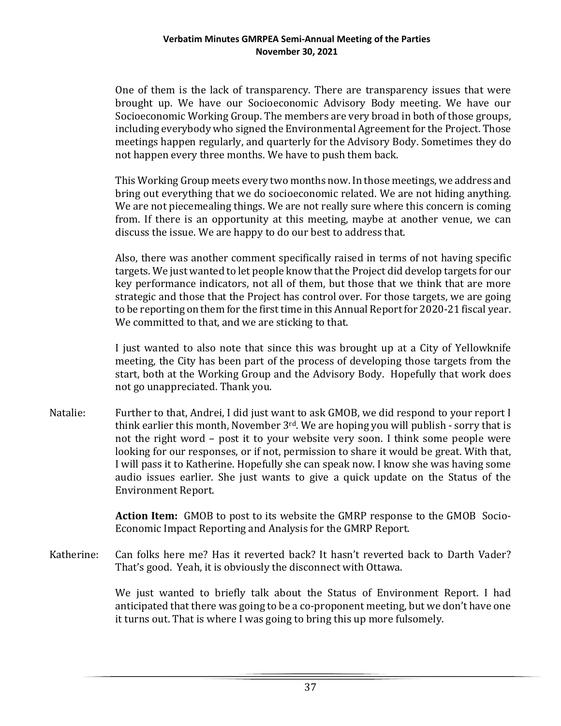One of them is the lack of transparency. There are transparency issues that were brought up. We have our Socioeconomic Advisory Body meeting. We have our Socioeconomic Working Group. The members are very broad in both of those groups, including everybody who signed the Environmental Agreement for the Project. Those meetings happen regularly, and quarterly for the Advisory Body. Sometimes they do not happen every three months. We have to push them back.

This Working Group meets every two months now. In those meetings, we address and bring out everything that we do socioeconomic related. We are not hiding anything. We are not piecemealing things. We are not really sure where this concern is coming from. If there is an opportunity at this meeting, maybe at another venue, we can discuss the issue. We are happy to do our best to address that.

Also, there was another comment specifically raised in terms of not having specific targets. We just wanted to let people know that the Project did develop targets for our key performance indicators, not all of them, but those that we think that are more strategic and those that the Project has control over. For those targets, we are going to be reporting on them for the first time in this Annual Report for 2020-21 fiscal year. We committed to that, and we are sticking to that.

I just wanted to also note that since this was brought up at a City of Yellowknife meeting, the City has been part of the process of developing those targets from the start, both at the Working Group and the Advisory Body. Hopefully that work does not go unappreciated. Thank you.

Natalie: Further to that, Andrei, I did just want to ask GMOB, we did respond to your report I think earlier this month, November  $3^{rd}$ . We are hoping you will publish - sorry that is not the right word – post it to your website very soon. I think some people were looking for our responses, or if not, permission to share it would be great. With that, I will pass it to Katherine. Hopefully she can speak now. I know she was having some audio issues earlier. She just wants to give a quick update on the Status of the Environment Report.

> **Action Item:** GMOB to post to its website the GMRP response to the GMOB Socio-Economic Impact Reporting and Analysis for the GMRP Report.

Katherine: Can folks here me? Has it reverted back? It hasn't reverted back to Darth Vader? That's good. Yeah, it is obviously the disconnect with Ottawa.

> We just wanted to briefly talk about the Status of Environment Report. I had anticipated that there was going to be a co-proponent meeting, but we don't have one it turns out. That is where I was going to bring this up more fulsomely.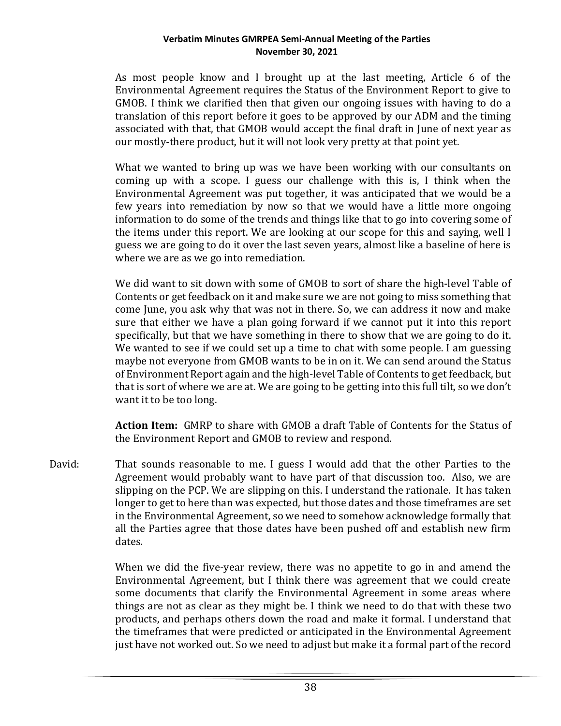As most people know and I brought up at the last meeting, Article 6 of the Environmental Agreement requires the Status of the Environment Report to give to GMOB. I think we clarified then that given our ongoing issues with having to do a translation of this report before it goes to be approved by our ADM and the timing associated with that, that GMOB would accept the final draft in June of next year as our mostly-there product, but it will not look very pretty at that point yet.

What we wanted to bring up was we have been working with our consultants on coming up with a scope. I guess our challenge with this is, I think when the Environmental Agreement was put together, it was anticipated that we would be a few years into remediation by now so that we would have a little more ongoing information to do some of the trends and things like that to go into covering some of the items under this report. We are looking at our scope for this and saying, well I guess we are going to do it over the last seven years, almost like a baseline of here is where we are as we go into remediation.

We did want to sit down with some of GMOB to sort of share the high-level Table of Contents or get feedback on it and make sure we are not going to miss something that come June, you ask why that was not in there. So, we can address it now and make sure that either we have a plan going forward if we cannot put it into this report specifically, but that we have something in there to show that we are going to do it. We wanted to see if we could set up a time to chat with some people. I am guessing maybe not everyone from GMOB wants to be in on it. We can send around the Status of Environment Report again and the high-level Table of Contents to get feedback, but that is sort of where we are at. We are going to be getting into this full tilt, so we don't want it to be too long.

**Action Item:** GMRP to share with GMOB a draft Table of Contents for the Status of the Environment Report and GMOB to review and respond.

David: That sounds reasonable to me. I guess I would add that the other Parties to the Agreement would probably want to have part of that discussion too. Also, we are slipping on the PCP. We are slipping on this. I understand the rationale. It has taken longer to get to here than was expected, but those dates and those timeframes are set in the Environmental Agreement, so we need to somehow acknowledge formally that all the Parties agree that those dates have been pushed off and establish new firm dates.

> When we did the five-year review, there was no appetite to go in and amend the Environmental Agreement, but I think there was agreement that we could create some documents that clarify the Environmental Agreement in some areas where things are not as clear as they might be. I think we need to do that with these two products, and perhaps others down the road and make it formal. I understand that the timeframes that were predicted or anticipated in the Environmental Agreement just have not worked out. So we need to adjust but make it a formal part of the record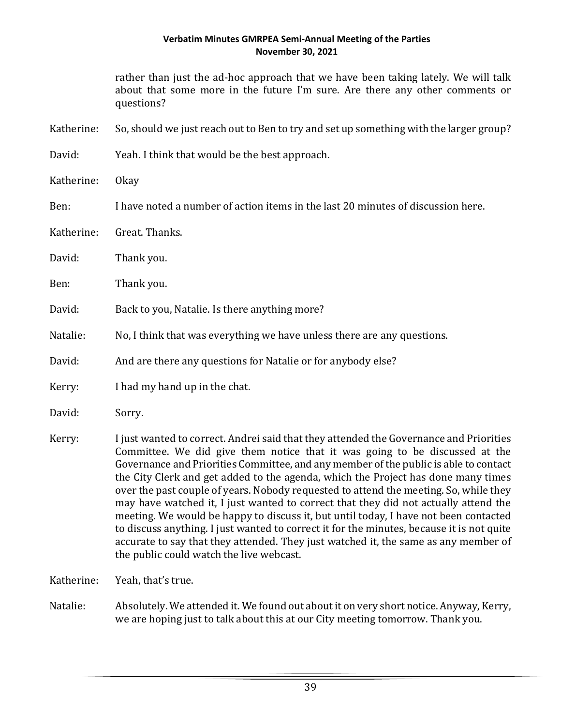rather than just the ad-hoc approach that we have been taking lately. We will talk about that some more in the future I'm sure. Are there any other comments or questions?

Katherine: So, should we just reach out to Ben to try and set up something with the larger group?

- David: Yeah. I think that would be the best approach.
- Katherine: Okay
- Ben: I have noted a number of action items in the last 20 minutes of discussion here.
- Katherine: Great. Thanks.
- David: Thank you.
- Ben: Thank you.
- David: Back to you, Natalie. Is there anything more?
- Natalie: No, I think that was everything we have unless there are any questions.

David: And are there any questions for Natalie or for anybody else?

- Kerry: I had my hand up in the chat.
- David: Sorry.
- Kerry: I just wanted to correct. Andrei said that they attended the Governance and Priorities Committee. We did give them notice that it was going to be discussed at the Governance and Priorities Committee, and any member of the public is able to contact the City Clerk and get added to the agenda, which the Project has done many times over the past couple of years. Nobody requested to attend the meeting. So, while they may have watched it, I just wanted to correct that they did not actually attend the meeting. We would be happy to discuss it, but until today, I have not been contacted to discuss anything. I just wanted to correct it for the minutes, because it is not quite accurate to say that they attended. They just watched it, the same as any member of the public could watch the live webcast.
- Katherine: Yeah, that's true.
- Natalie: Absolutely. We attended it. We found out about it on very short notice. Anyway, Kerry, we are hoping just to talk about this at our City meeting tomorrow. Thank you.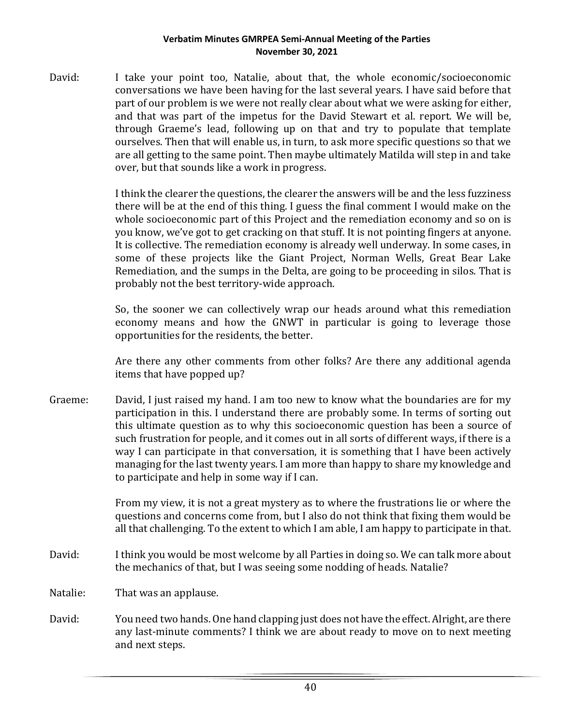David: I take your point too, Natalie, about that, the whole economic/socioeconomic conversations we have been having for the last several years. I have said before that part of our problem is we were not really clear about what we were asking for either, and that was part of the impetus for the David Stewart et al. report. We will be, through Graeme's lead, following up on that and try to populate that template ourselves. Then that will enable us, in turn, to ask more specific questions so that we are all getting to the same point. Then maybe ultimately Matilda will step in and take over, but that sounds like a work in progress.

> I think the clearer the questions, the clearer the answers will be and the less fuzziness there will be at the end of this thing. I guess the final comment I would make on the whole socioeconomic part of this Project and the remediation economy and so on is you know, we've got to get cracking on that stuff. It is not pointing fingers at anyone. It is collective. The remediation economy is already well underway. In some cases, in some of these projects like the Giant Project, Norman Wells, Great Bear Lake Remediation, and the sumps in the Delta, are going to be proceeding in silos. That is probably not the best territory-wide approach.

> So, the sooner we can collectively wrap our heads around what this remediation economy means and how the GNWT in particular is going to leverage those opportunities for the residents, the better.

> Are there any other comments from other folks? Are there any additional agenda items that have popped up?

Graeme: David, I just raised my hand. I am too new to know what the boundaries are for my participation in this. I understand there are probably some. In terms of sorting out this ultimate question as to why this socioeconomic question has been a source of such frustration for people, and it comes out in all sorts of different ways, if there is a way I can participate in that conversation, it is something that I have been actively managing for the last twenty years. I am more than happy to share my knowledge and to participate and help in some way if I can.

> From my view, it is not a great mystery as to where the frustrations lie or where the questions and concerns come from, but I also do not think that fixing them would be all that challenging. To the extent to which I am able, I am happy to participate in that.

- David: I think you would be most welcome by all Parties in doing so. We can talk more about the mechanics of that, but I was seeing some nodding of heads. Natalie?
- Natalie: That was an applause.
- David: You need two hands. One hand clapping just does not have the effect. Alright, are there any last-minute comments? I think we are about ready to move on to next meeting and next steps.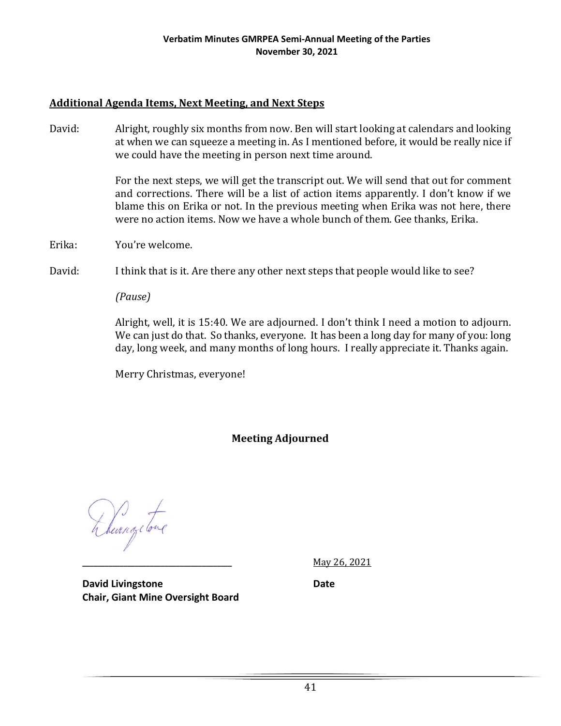## **Additional Agenda Items, Next Meeting, and Next Steps**

David: Alright, roughly six months from now. Ben will start looking at calendars and looking at when we can squeeze a meeting in. As I mentioned before, it would be really nice if we could have the meeting in person next time around.

> For the next steps, we will get the transcript out. We will send that out for comment and corrections. There will be a list of action items apparently. I don't know if we blame this on Erika or not. In the previous meeting when Erika was not here, there were no action items. Now we have a whole bunch of them. Gee thanks, Erika.

Erika: You're welcome.

David: I think that is it. Are there any other next steps that people would like to see?

*(Pause)*

Alright, well, it is 15:40. We are adjourned. I don't think I need a motion to adjourn. We can just do that. So thanks, everyone. It has been a long day for many of you: long day, long week, and many months of long hours. I really appreciate it. Thanks again.

Merry Christmas, everyone!

**Meeting Adjourned**

& Revenge tone

**\_\_\_\_\_\_\_\_\_\_\_\_\_\_\_\_\_\_\_\_\_\_\_\_\_\_\_\_\_\_\_\_\_\_\_\_\_\_\_\_** May 26, 2021

**David Livingstone Date Chair, Giant Mine Oversight Board**